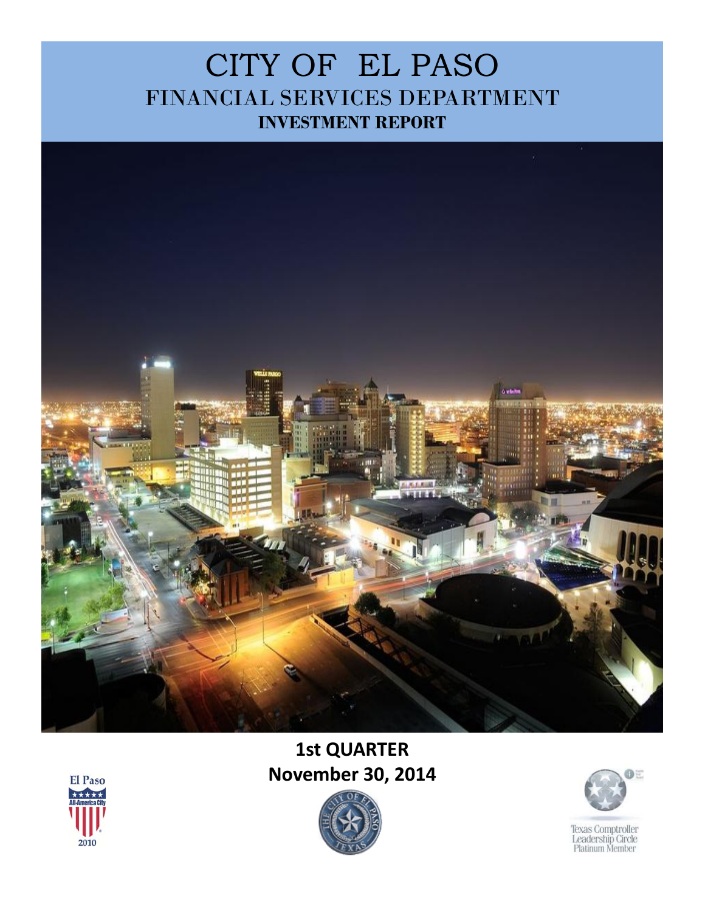## CITY OF EL PASO FINANCIAL SERVICES DEPARTMENT **INVESTMENT REPORT**



## **1st QUARTER November 30, 2014**





Texas Comptroller<br>Leadership Circle<br>Platinum Member

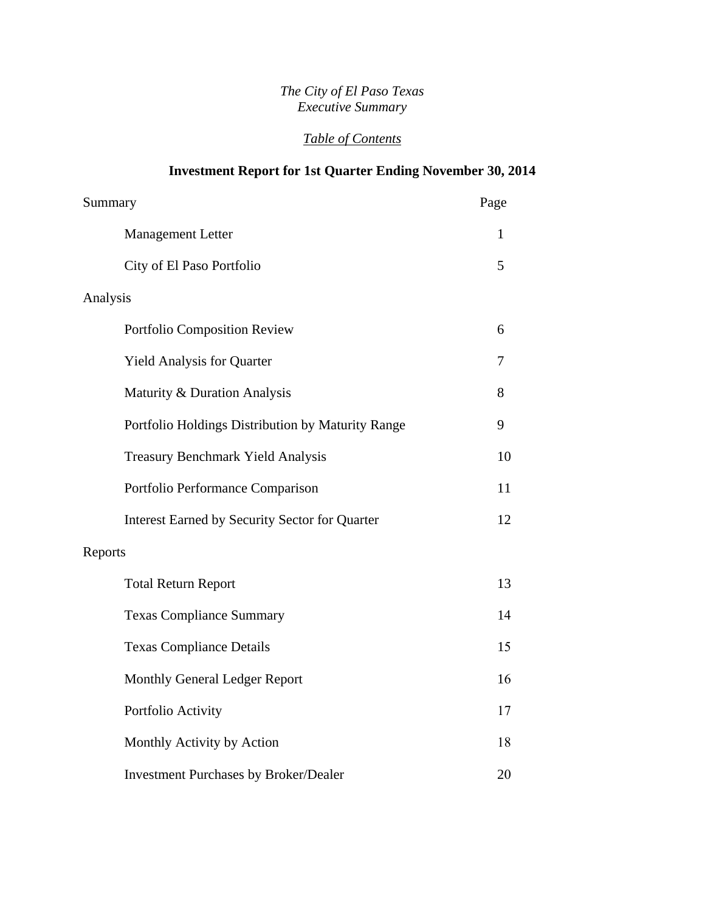#### *The City of El Paso Texas Executive Summary*

### *Table of Contents*

### **Investment Report for 1st Quarter Ending November 30, 2014**

| Summary                                               | Page |
|-------------------------------------------------------|------|
| <b>Management Letter</b>                              | 1    |
| City of El Paso Portfolio                             | 5    |
| Analysis                                              |      |
| Portfolio Composition Review                          | 6    |
| <b>Yield Analysis for Quarter</b>                     | 7    |
| Maturity & Duration Analysis                          | 8    |
| Portfolio Holdings Distribution by Maturity Range     | 9    |
| <b>Treasury Benchmark Yield Analysis</b>              | 10   |
| Portfolio Performance Comparison                      | 11   |
| <b>Interest Earned by Security Sector for Quarter</b> | 12   |
| Reports                                               |      |
| <b>Total Return Report</b>                            | 13   |
| <b>Texas Compliance Summary</b>                       | 14   |
| <b>Texas Compliance Details</b>                       | 15   |
| Monthly General Ledger Report                         | 16   |
| Portfolio Activity                                    | 17   |
| Monthly Activity by Action                            | 18   |
| <b>Investment Purchases by Broker/Dealer</b>          | 20   |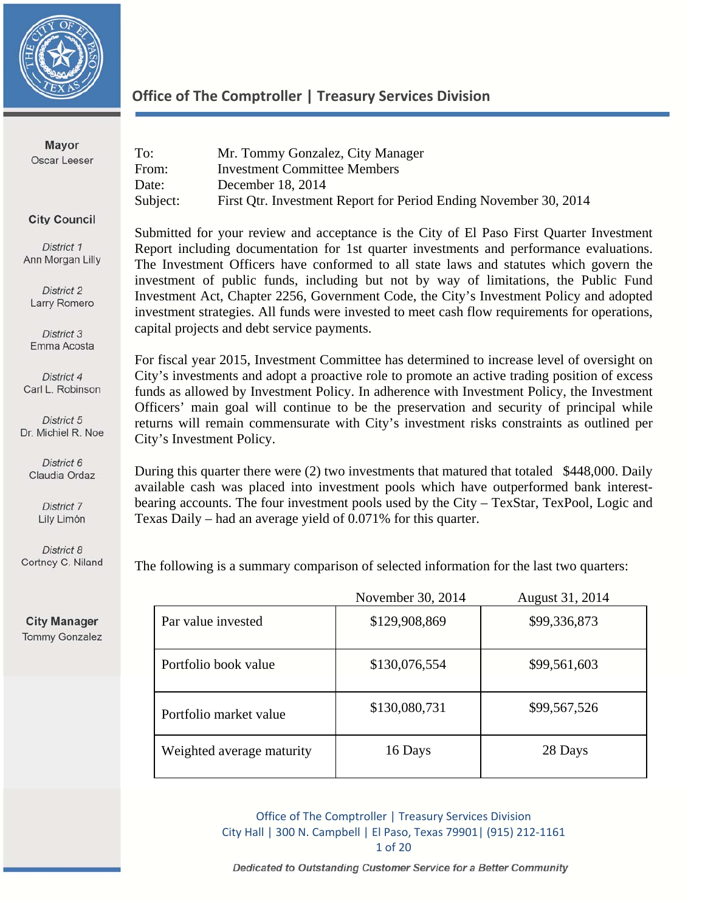

**Mayor** Oscar Leeser

### **Office of The Comptroller | Treasury Services Division**

| To:      | Mr. Tommy Gonzalez, City Manager                                 |
|----------|------------------------------------------------------------------|
| From:    | <b>Investment Committee Members</b>                              |
| Date:    | December 18, 2014                                                |
| Subject: | First Qtr. Investment Report for Period Ending November 30, 2014 |

**City Council** 

District 1 Ann Morgan Lilly

District 2 Larry Romero

District 3 Emma Acosta

District 4 Carl L. Robinson

District 5 Dr. Michiel R. Noe

District 6 Claudia Ordaz

> District 7 Lily Limón

District 8 Cortney C. Niland

**City Manager Tommy Gonzalez** 

Submitted for your review and acceptance is the City of El Paso First Quarter Investment Report including documentation for 1st quarter investments and performance evaluations. The Investment Officers have conformed to all state laws and statutes which govern the investment of public funds, including but not by way of limitations, the Public Fund Investment Act, Chapter 2256, Government Code, the City's Investment Policy and adopted investment strategies. All funds were invested to meet cash flow requirements for operations, capital projects and debt service payments.

For fiscal year 2015, Investment Committee has determined to increase level of oversight on City's investments and adopt a proactive role to promote an active trading position of excess funds as allowed by Investment Policy. In adherence with Investment Policy, the Investment Officers' main goal will continue to be the preservation and security of principal while returns will remain commensurate with City's investment risks constraints as outlined per City's Investment Policy.

During this quarter there were (2) two investments that matured that totaled \$448,000. Daily available cash was placed into investment pools which have outperformed bank interestbearing accounts. The four investment pools used by the City – TexStar, TexPool, Logic and Texas Daily – had an average yield of 0.071% for this quarter.

The following is a summary comparison of selected information for the last two quarters:

|                           | November 30, 2014 | August 31, 2014 |
|---------------------------|-------------------|-----------------|
| Par value invested        | \$129,908,869     | \$99,336,873    |
| Portfolio book value      | \$130,076,554     | \$99,561,603    |
| Portfolio market value    | \$130,080,731     | \$99,567,526    |
| Weighted average maturity | 16 Days           | 28 Days         |

Office of The Comptroller | Treasury Services Division City Hall | 300 N. Campbell | El Paso, Texas 79901| (915) 212‐1161 1 of 20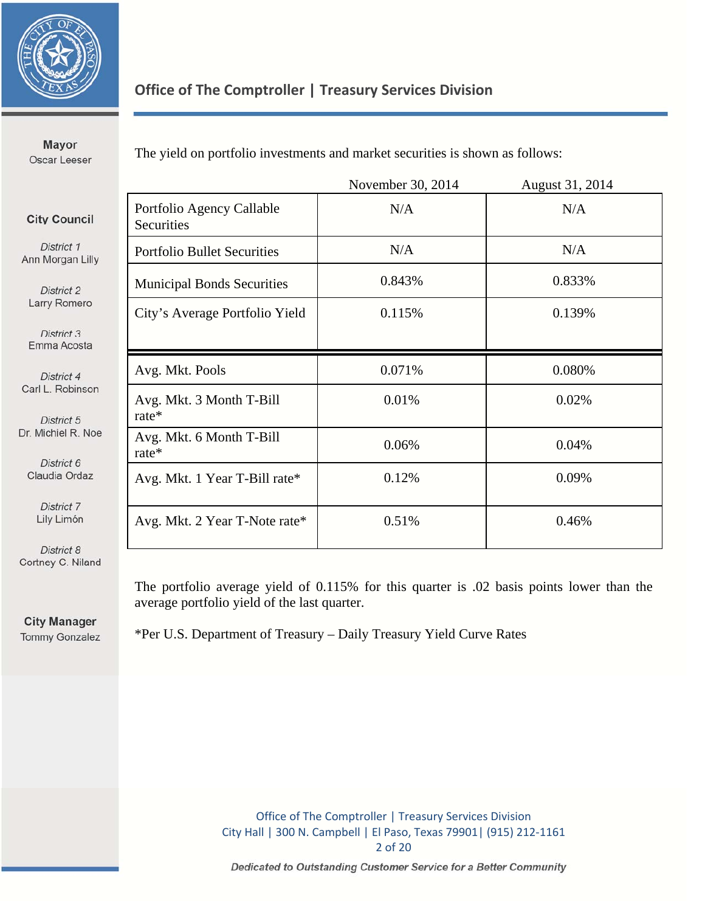

### **Office of The Comptroller | Treasury Services Division**

**Mayor** Oscar Leeser

The yield on portfolio investments and market securities is shown as follows:

|                                |                                         | November 30, 2014 | August 31, 2014 |
|--------------------------------|-----------------------------------------|-------------------|-----------------|
| <b>City Council</b>            | Portfolio Agency Callable<br>Securities | N/A               | N/A             |
| District 1<br>Ann Morgan Lilly | <b>Portfolio Bullet Securities</b>      | N/A               | N/A             |
| District 2                     | <b>Municipal Bonds Securities</b>       | 0.843%            | 0.833%          |
| Larry Romero                   | City's Average Portfolio Yield          | 0.115%            | 0.139%          |
| District 3<br>Emma Acosta      |                                         |                   |                 |
| District 4                     | Avg. Mkt. Pools                         | 0.071%            | 0.080%          |
| Carl L. Robinson<br>District 5 | Avg. Mkt. 3 Month T-Bill<br>rate $*$    | 0.01%             | 0.02%           |
| Dr. Michiel R. Noe             | Avg. Mkt. 6 Month T-Bill<br>$rate*$     | 0.06%             | 0.04%           |
| District 6<br>Claudia Ordaz    | Avg. Mkt. 1 Year T-Bill rate*           | 0.12%             | 0.09%           |
| District 7<br>Lily Limón       | Avg. Mkt. 2 Year T-Note rate*           | 0.51%             | 0.46%           |
| District 8                     |                                         |                   |                 |

District 8 Cortney C. Niland

> The portfolio average yield of 0.115% for this quarter is .02 basis points lower than the average portfolio yield of the last quarter.

**City Manager Tommy Gonzalez** 

\*Per U.S. Department of Treasury – Daily Treasury Yield Curve Rates

Office of The Comptroller | Treasury Services Division City Hall | 300 N. Campbell | El Paso, Texas 79901| (915) 212‐1161 2 of 20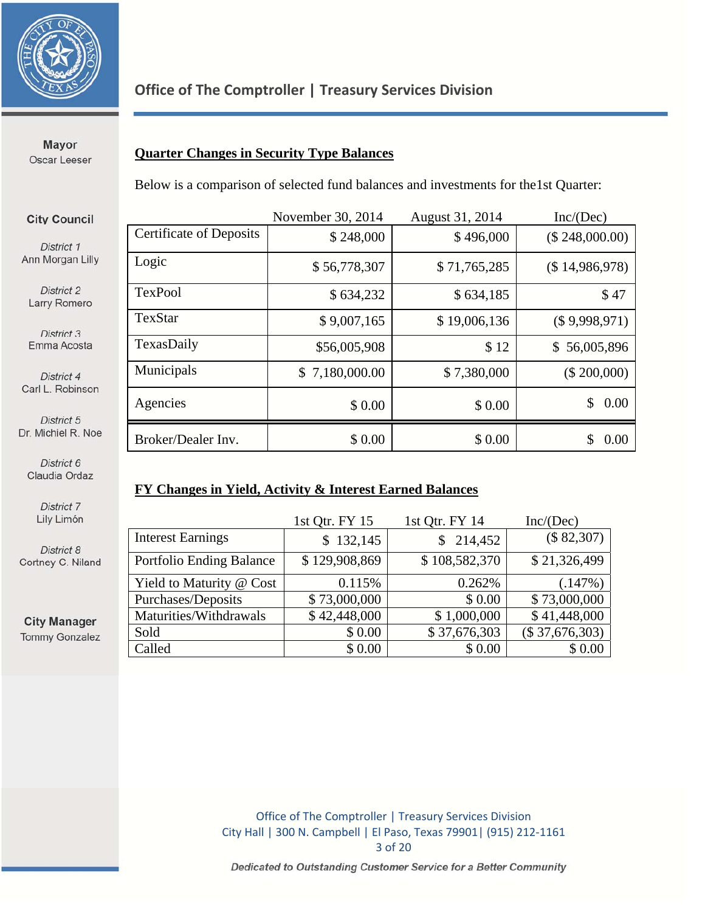

### **Office of The Comptroller | Treasury Services Division**

**Mayor** Oscar Leeser

**City Council** 

District 1 Ann Morgan Lilly

District 2 Larry Romero

District 3 Emma Acosta

District 4 Carl L. Robinson

District 5 Dr. Michiel R. Noe

### **Quarter Changes in Security Type Balances**

Below is a comparison of selected fund balances and investments for the1st Quarter:

|                                | November 30, 2014 | August 31, 2014 | Inc/(Dec)      |
|--------------------------------|-------------------|-----------------|----------------|
| <b>Certificate of Deposits</b> | \$248,000         | \$496,000       | (\$248,000.00) |
| Logic                          | \$56,778,307      | \$71,765,285    | (\$14,986,978) |
| <b>TexPool</b>                 | \$634,232         | \$634,185       | \$47           |
| TexStar                        | \$9,007,165       | \$19,006,136    | (\$9,998,971)  |
| TexasDaily                     | \$56,005,908      | \$12            | \$56,005,896   |
| Municipals                     | \$7,180,000.00    | \$7,380,000     | (\$ 200,000)   |
| Agencies                       | \$0.00            | \$0.00          | \$<br>0.00     |
| Broker/Dealer Inv.             | \$0.00            | \$0.00          | 0.00<br>S      |

District 6 Claudia Ordaz

> District 7 Lily Limón

District 8 Cortney C. Niland

**City Manager Tommy Gonzalez** 

#### **FY Changes in Yield, Activity & Interest Earned Balances**

|                          | 1st Qtr. FY 15 | 1st Qtr. FY 14 | Inc/(Dec)        |
|--------------------------|----------------|----------------|------------------|
| <b>Interest Earnings</b> | \$132,145      | \$214,452      | (\$82,307)       |
| Portfolio Ending Balance | \$129,908,869  | \$108,582,370  | \$21,326,499     |
| Yield to Maturity @ Cost | 0.115%         | 0.262%         | (.147%)          |
| Purchases/Deposits       | \$73,000,000   | \$0.00         | \$73,000,000     |
| Maturities/Withdrawals   | \$42,448,000   | \$1,000,000    | \$41,448,000     |
| Sold                     | \$0.00         | \$37,676,303   | $(\$37,676,303)$ |
| Called                   | \$0.00         | \$0.00         | \$0.00           |

Office of The Comptroller | Treasury Services Division City Hall | 300 N. Campbell | El Paso, Texas 79901| (915) 212‐1161 3 of 20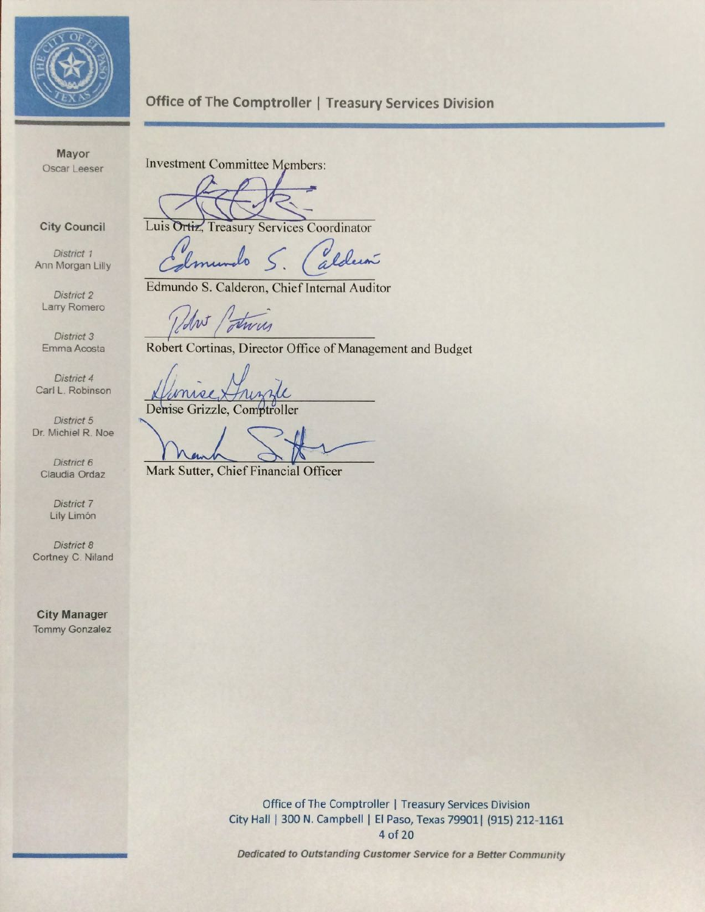

### **Office of The Comptroller | Treasury Services Division**

Mayor Oscar Leeser

**City Council** 

District 1 Ann Morgan Lilly

District 2 Larry Romero

District 3 Emma Acosta

District 4 Carl L. Robinson

District 5 Dr. Michiel R. Noe

District 6 Claudia Ordaz

> District 7 Lily Limón

District 8 Cortney C. Niland

**City Manager Tommy Gonzalez**  **Investment Committee Members:** 

Luis Ortiz, Treasury Services Coordinator

aldun lo

Edmundo S. Calderon, Chief Internal Auditor

Robert Cortinas, Director Office of Management and Budget

Demse Grizzle, Comptroller

Mark Sutter, Chief Financial Officer

Office of The Comptroller | Treasury Services Division City Hall | 300 N. Campbell | El Paso, Texas 79901 | (915) 212-1161 4 of 20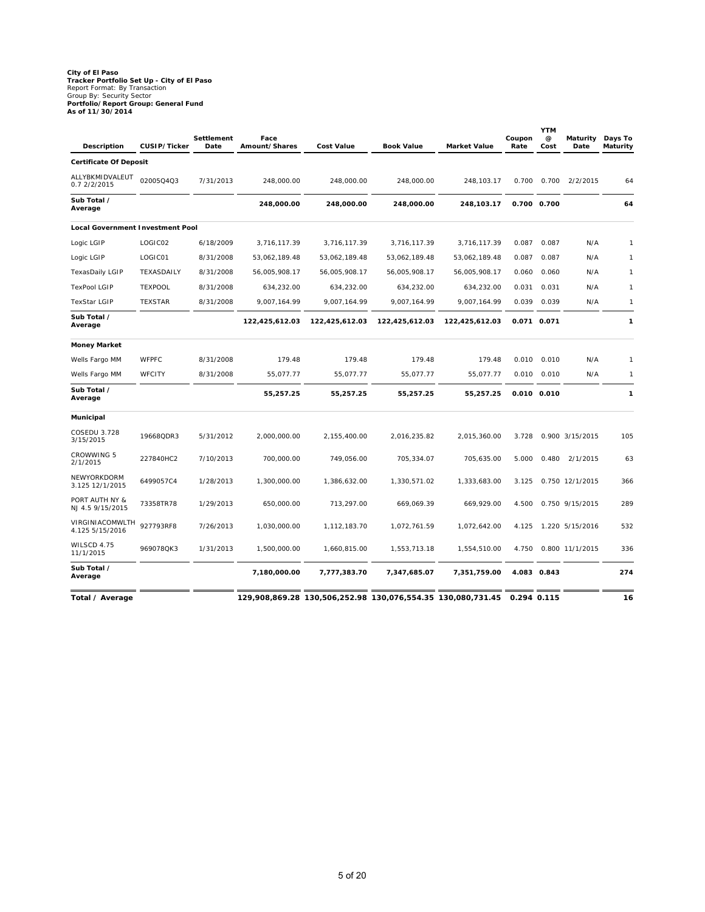# **City of El Paso Tracker Portfolio Set Up - City of El Paso** Report Format: By Transaction Group By: Security Sector **Portfolio/Report Group: General Fund As of 11/30/2014**

| <b>Description</b>                      | CUSIP/Ticker   | Settlement<br>Date | Face<br>Amount/Shares | <b>Cost Value</b> | <b>Book Value</b> | <b>Market Value</b> | Coupon<br>Rate | <b>YTM</b><br>@<br>Cost | Maturity<br>Date | Days To<br>Maturity |
|-----------------------------------------|----------------|--------------------|-----------------------|-------------------|-------------------|---------------------|----------------|-------------------------|------------------|---------------------|
| <b>Certificate Of Deposit</b>           |                |                    |                       |                   |                   |                     |                |                         |                  |                     |
| ALLYBKMIDVALEUT<br>0.7 2/2/2015         | 02005Q4Q3      | 7/31/2013          | 248,000.00            | 248,000.00        | 248,000.00        | 248,103.17          | 0.700          | 0.700                   | 2/2/2015         | 64                  |
| Sub Total /<br>Average                  |                |                    | 248,000.00            | 248,000.00        | 248,000.00        | 248,103.17          |                | 0.700 0.700             |                  | 64                  |
| <b>Local Government Investment Pool</b> |                |                    |                       |                   |                   |                     |                |                         |                  |                     |
| Logic LGIP                              | LOGIC02        | 6/18/2009          | 3,716,117.39          | 3,716,117.39      | 3,716,117.39      | 3,716,117.39        | 0.087          | 0.087                   | N/A              | $\mathbf{1}$        |
| Logic LGIP                              | LOGIC01        | 8/31/2008          | 53,062,189.48         | 53,062,189.48     | 53,062,189.48     | 53,062,189.48       | 0.087          | 0.087                   | N/A              | $\mathbf{1}$        |
| <b>TexasDaily LGIP</b>                  | TEXASDAILY     | 8/31/2008          | 56,005,908.17         | 56,005,908.17     | 56,005,908.17     | 56,005,908.17       | 0.060          | 0.060                   | N/A              | $\mathbf{1}$        |
| <b>TexPool LGIP</b>                     | <b>TEXPOOL</b> | 8/31/2008          | 634,232.00            | 634,232.00        | 634,232.00        | 634,232.00          | 0.031          | 0.031                   | N/A              | 1                   |
| <b>TexStar LGIP</b>                     | <b>TEXSTAR</b> | 8/31/2008          | 9,007,164.99          | 9,007,164.99      | 9,007,164.99      | 9,007,164.99        | 0.039          | 0.039                   | N/A              | $\mathbf{1}$        |
| Sub Total /<br>Average                  |                |                    | 122,425,612.03        | 122,425,612.03    | 122,425,612.03    | 122,425,612.03      |                | 0.071 0.071             |                  | 1                   |
| Money Market                            |                |                    |                       |                   |                   |                     |                |                         |                  |                     |
| Wells Fargo MM                          | <b>WFPFC</b>   | 8/31/2008          | 179.48                | 179.48            | 179.48            | 179.48              | 0.010          | 0.010                   | N/A              | $\mathbf{1}$        |
| Wells Fargo MM                          | <b>WFCITY</b>  | 8/31/2008          | 55,077.77             | 55,077.77         | 55,077.77         | 55,077.77           | 0.010          | 0.010                   | N/A              | 1                   |
| Sub Total /<br>Average                  |                |                    | 55,257.25             | 55,257.25         | 55,257.25         | 55,257.25           |                | 0.010 0.010             |                  | 1                   |
| Municipal                               |                |                    |                       |                   |                   |                     |                |                         |                  |                     |
| COSEDU 3.728<br>3/15/2015               | 19668QDR3      | 5/31/2012          | 2,000,000.00          | 2,155,400.00      | 2,016,235.82      | 2,015,360.00        | 3.728          |                         | 0.900 3/15/2015  | 105                 |
| CROWWING 5<br>2/1/2015                  | 227840HC2      | 7/10/2013          | 700,000.00            | 749,056.00        | 705,334.07        | 705,635.00          | 5.000          | 0.480                   | 2/1/2015         | 63                  |
| NEWYORKDORM<br>3.125 12/1/2015          | 6499057C4      | 1/28/2013          | 1,300,000.00          | 1,386,632.00      | 1,330,571.02      | 1,333,683.00        | 3.125          |                         | 0.750 12/1/2015  | 366                 |
| PORT AUTH NY &<br>NJ 4.5 9/15/2015      | 73358TR78      | 1/29/2013          | 650,000.00            | 713,297.00        | 669,069.39        | 669,929.00          | 4.500          |                         | 0.750 9/15/2015  | 289                 |
| VIRGINIACOMWLTH<br>4.125 5/15/2016      | 927793RF8      | 7/26/2013          | 1,030,000.00          | 1,112,183.70      | 1,072,761.59      | 1,072,642.00        | 4.125          |                         | 1.220 5/15/2016  | 532                 |
| WILSCD 4.75<br>11/1/2015                | 969078QK3      | 1/31/2013          | 1,500,000.00          | 1,660,815.00      | 1,553,713.18      | 1,554,510.00        | 4.750          |                         | 0.800 11/1/2015  | 336                 |
| Sub Total /<br>Average                  |                |                    | 7,180,000.00          | 7,777,383.70      | 7,347,685.07      | 7,351,759.00        |                | 4.083 0.843             |                  | 274                 |
| Total / Average                         |                |                    |                       |                   |                   |                     | 0.294 0.115    |                         |                  | 16                  |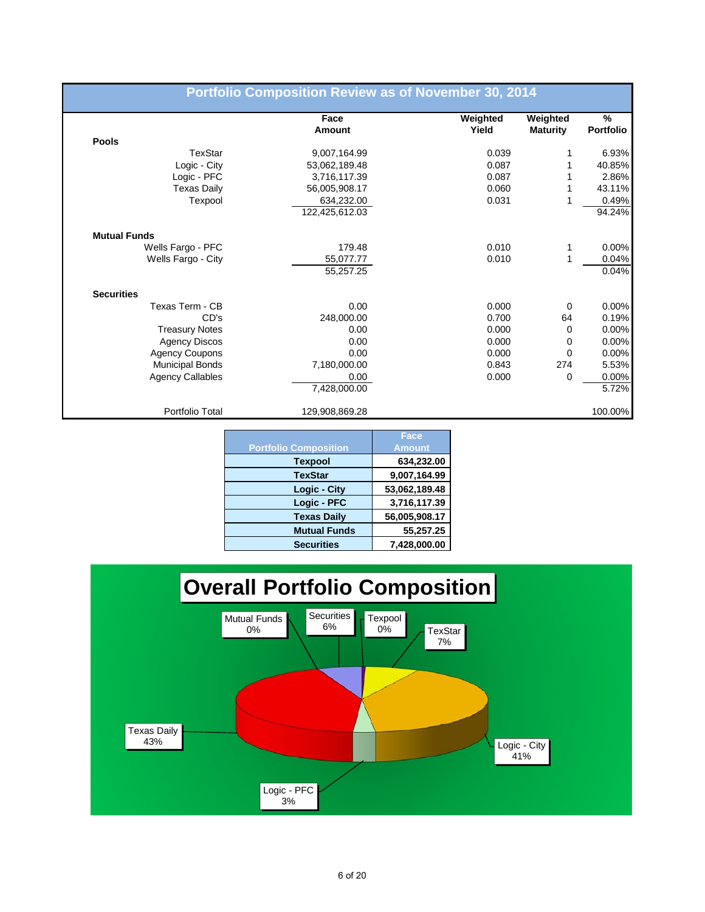|                         | Face           | Weighted | Weighted        | $\%$             |
|-------------------------|----------------|----------|-----------------|------------------|
|                         | Amount         | Yield    | <b>Maturity</b> | <b>Portfolio</b> |
| Pools                   |                |          |                 |                  |
| <b>TexStar</b>          | 9,007,164.99   | 0.039    | 1               | 6.93%            |
| Logic - City            | 53,062,189.48  | 0.087    | 1               | 40.85%           |
| Logic - PFC             | 3,716,117.39   | 0.087    |                 | 2.86%            |
| <b>Texas Daily</b>      | 56,005,908.17  | 0.060    | 1               | 43.11%           |
| Texpool                 | 634,232.00     | 0.031    | 1               | 0.49%            |
|                         | 122,425,612.03 |          |                 | 94.24%           |
| <b>Mutual Funds</b>     |                |          |                 |                  |
| Wells Fargo - PFC       | 179.48         | 0.010    | 1               | 0.00%            |
| Wells Fargo - City      | 55,077.77      | 0.010    | 1               | 0.04%            |
|                         | 55,257.25      |          |                 | 0.04%            |
| <b>Securities</b>       |                |          |                 |                  |
| Texas Term - CB         | 0.00           | 0.000    | 0               | 0.00%            |
| CD's                    | 248,000.00     | 0.700    | 64              | 0.19%            |
| <b>Treasury Notes</b>   | 0.00           | 0.000    | 0               | 0.00%            |
| <b>Agency Discos</b>    | 0.00           | 0.000    | 0               | 0.00%            |
| <b>Agency Coupons</b>   | 0.00           | 0.000    | 0               | 0.00%            |
| <b>Municipal Bonds</b>  | 7,180,000.00   | 0.843    | 274             | 5.53%            |
| <b>Agency Callables</b> | 0.00           | 0.000    | 0               | 0.00%            |
|                         | 7,428,000.00   |          |                 | 5.72%            |
| Portfolio Total         | 129,908,869.28 |          |                 | 100.00%          |

|                              | Face          |
|------------------------------|---------------|
| <b>Portfolio Composition</b> | <b>Amount</b> |
| <b>Texpool</b>               | 634,232.00    |
| <b>TexStar</b>               | 9,007,164.99  |
| <b>Logic - City</b>          | 53,062,189.48 |
| Logic - PFC                  | 3,716,117.39  |
| <b>Texas Daily</b>           | 56,005,908.17 |
| <b>Mutual Funds</b>          | 55,257.25     |
| <b>Securities</b>            | 7,428,000.00  |

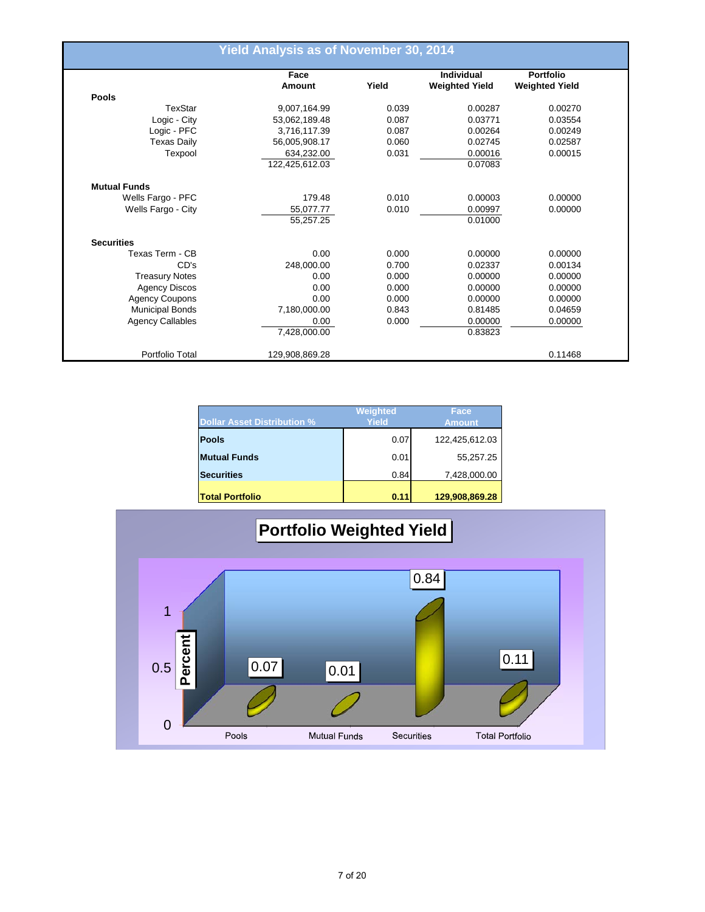|                         | <b>Yield Analysis as of November 30, 2014</b> |       |                       |                       |
|-------------------------|-----------------------------------------------|-------|-----------------------|-----------------------|
|                         | Face                                          |       | Individual            | Portfolio             |
|                         | Amount                                        | Yield | <b>Weighted Yield</b> | <b>Weighted Yield</b> |
| <b>Pools</b>            |                                               |       |                       |                       |
| TexStar                 | 9,007,164.99                                  | 0.039 | 0.00287               | 0.00270               |
| Logic - City            | 53,062,189.48                                 | 0.087 | 0.03771               | 0.03554               |
| Logic - PFC             | 3,716,117.39                                  | 0.087 | 0.00264               | 0.00249               |
| <b>Texas Daily</b>      | 56,005,908.17                                 | 0.060 | 0.02745               | 0.02587               |
| Texpool                 | 634,232.00                                    | 0.031 | 0.00016               | 0.00015               |
|                         | 122,425,612.03                                |       | 0.07083               |                       |
| <b>Mutual Funds</b>     |                                               |       |                       |                       |
| Wells Fargo - PFC       | 179.48                                        | 0.010 | 0.00003               | 0.00000               |
| Wells Fargo - City      | 55,077.77                                     | 0.010 | 0.00997               | 0.00000               |
|                         | 55,257.25                                     |       | 0.01000               |                       |
| <b>Securities</b>       |                                               |       |                       |                       |
| Texas Term - CB         | 0.00                                          | 0.000 | 0.00000               | 0.00000               |
| CD's                    | 248,000.00                                    | 0.700 | 0.02337               | 0.00134               |
| <b>Treasury Notes</b>   | 0.00                                          | 0.000 | 0.00000               | 0.00000               |
| <b>Agency Discos</b>    | 0.00                                          | 0.000 | 0.00000               | 0.00000               |
| <b>Agency Coupons</b>   | 0.00                                          | 0.000 | 0.00000               | 0.00000               |
| <b>Municipal Bonds</b>  | 7,180,000.00                                  | 0.843 | 0.81485               | 0.04659               |
| <b>Agency Callables</b> | 0.00                                          | 0.000 | 0.00000               | 0.00000               |
|                         | 7,428,000.00                                  |       | 0.83823               |                       |
| Portfolio Total         | 129,908,869.28                                |       |                       | 0.11468               |

| <b>Dollar Asset Distribution %</b> | Weighted<br>Yield | Face<br><b>Amount</b> |
|------------------------------------|-------------------|-----------------------|
| <b>Pools</b>                       | 0.07              | 122,425,612.03        |
| <b>Mutual Funds</b>                | 0.01              | 55,257.25             |
| <b>Securities</b>                  | 0.84              | 7,428,000.00          |
| <b>Total Portfolio</b>             | 0.11              | 129,908,869.28        |

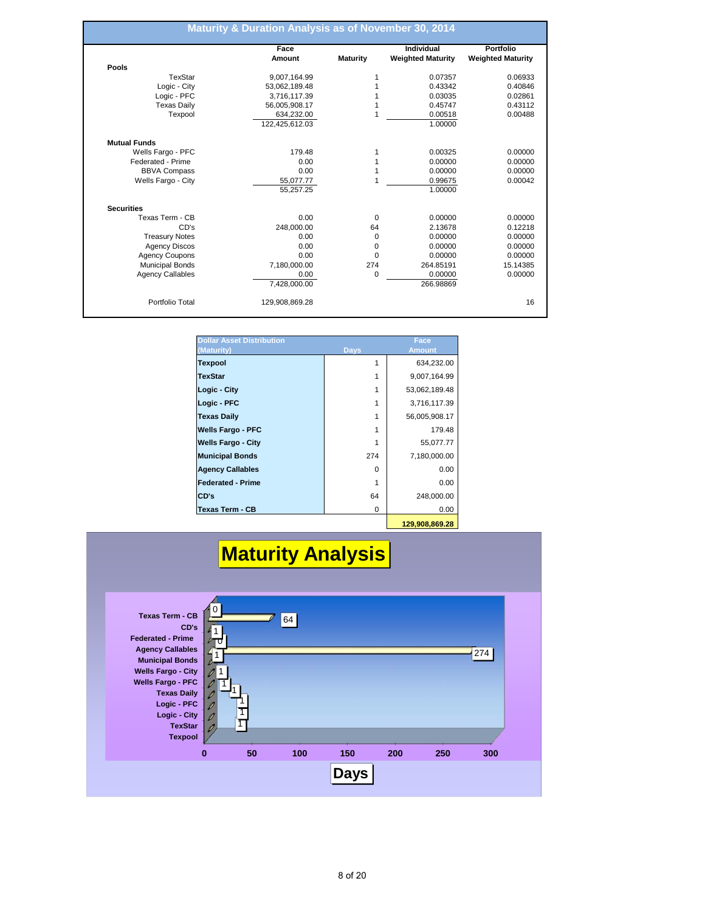| <b>Weighted Maturity</b><br><b>Weighted Maturity</b><br><b>Maturity</b><br>0.07357<br>0.06933<br>1<br>0.43342<br>0.40846<br>0.03035<br>0.02861<br>0.45747<br>0.43112<br>0.00518<br>0.00488<br>1.00000<br>0.00325<br>0.00000<br>0.00000<br>0.00000<br>0.00000<br>0.00000<br>0.99675<br>0.00042 |
|-----------------------------------------------------------------------------------------------------------------------------------------------------------------------------------------------------------------------------------------------------------------------------------------------|
|                                                                                                                                                                                                                                                                                               |
|                                                                                                                                                                                                                                                                                               |
|                                                                                                                                                                                                                                                                                               |
|                                                                                                                                                                                                                                                                                               |
|                                                                                                                                                                                                                                                                                               |
|                                                                                                                                                                                                                                                                                               |
|                                                                                                                                                                                                                                                                                               |
|                                                                                                                                                                                                                                                                                               |
|                                                                                                                                                                                                                                                                                               |
|                                                                                                                                                                                                                                                                                               |
|                                                                                                                                                                                                                                                                                               |
|                                                                                                                                                                                                                                                                                               |
|                                                                                                                                                                                                                                                                                               |
| 1.00000                                                                                                                                                                                                                                                                                       |
|                                                                                                                                                                                                                                                                                               |
| 0<br>0.00000<br>0.00000                                                                                                                                                                                                                                                                       |
| 2.13678<br>0.12218<br>64                                                                                                                                                                                                                                                                      |
| 0.00000<br>0<br>0.00000                                                                                                                                                                                                                                                                       |
| 0.00000<br>0.00000<br>0                                                                                                                                                                                                                                                                       |
| 0<br>0.00000<br>0.00000                                                                                                                                                                                                                                                                       |
| 274<br>264.85191<br>15.14385                                                                                                                                                                                                                                                                  |
| 0<br>0.00000<br>0.00000                                                                                                                                                                                                                                                                       |
| 266.98869                                                                                                                                                                                                                                                                                     |
|                                                                                                                                                                                                                                                                                               |

| <b>Dollar Asset Distribution</b><br>(Maturity) | <b>Days</b> | Face<br><b>Amount</b> |
|------------------------------------------------|-------------|-----------------------|
| <b>Texpool</b>                                 |             | 634,232.00            |
| <b>TexStar</b>                                 |             | 9,007,164.99          |
| Logic - City                                   |             | 53,062,189.48         |
| Logic - PFC                                    | 1           | 3,716,117.39          |
| <b>Texas Daily</b>                             |             | 56,005,908.17         |
| <b>Wells Fargo - PFC</b>                       |             | 179.48                |
| <b>Wells Fargo - City</b>                      |             | 55,077.77             |
| <b>Municipal Bonds</b>                         | 274         | 7,180,000.00          |
| <b>Agency Callables</b>                        | $\Omega$    | 0.00                  |
| <b>Federated - Prime</b>                       |             | 0.00                  |
| CD's                                           | 64          | 248,000.00            |
| Texas Term - CB                                | 0           | 0.00                  |
|                                                |             | 400.000.000.00        |

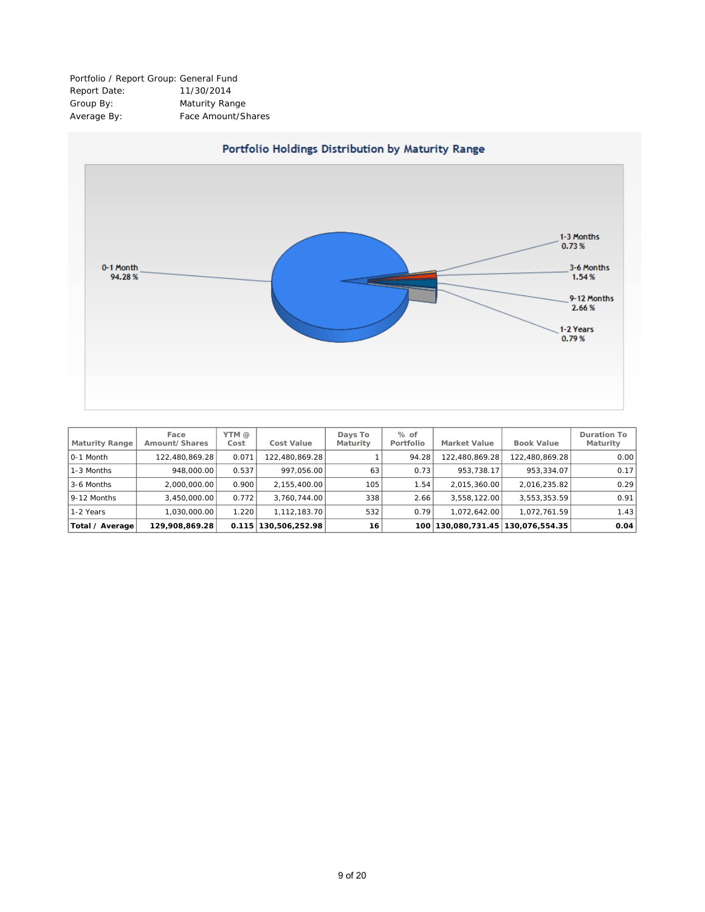Portfolio / Report Group: General Fund Report Date: 11/30/2014 Group By: Maturity Range Average By: Face Amount/Shares



| Maturity Range  | Face<br>Amount/Shares | YTM @<br>Cost | <b>Cost Value</b> | Days To<br>Maturity | $%$ of<br>Portfolio | <b>Market Value</b> | <b>Book Value</b>             | <b>Duration To</b><br>Maturity |
|-----------------|-----------------------|---------------|-------------------|---------------------|---------------------|---------------------|-------------------------------|--------------------------------|
| 0-1 Month       | 122,480,869.28        | 0.071         | 122.480.869.28    |                     | 94.28               | 122.480.869.28      | 122,480,869.28                | 0.00                           |
| 1-3 Months      | 948,000,00            | 0.537         | 997.056.00        | 63                  | 0.73                | 953,738.17          | 953.334.07                    | 0.17                           |
| 3-6 Months      | 2,000,000.00          | 0.900         | 2,155,400.00      | 105 <sub>1</sub>    | 1.54                | 2,015,360.00        | 2,016,235.82                  | 0.29                           |
| 9-12 Months     | 3.450.000.00          | 0.772         | 3.760.744.00      | 338                 | 2.66                | 3.558.122.00        | 3,553,353.59                  | 0.91                           |
| 1-2 Years       | ا 030،000،00. ا       | 1.220         | 1.112.183.70      | 532                 | 0.79                | 072.642.00          | 1.072.761.59                  | 1.43                           |
| Total / Average | 129.908.869.28        | 0.115         | 130,506,252.98    | 16                  | 100                 |                     | 130.080.731.45 130.076.554.35 | 0.04                           |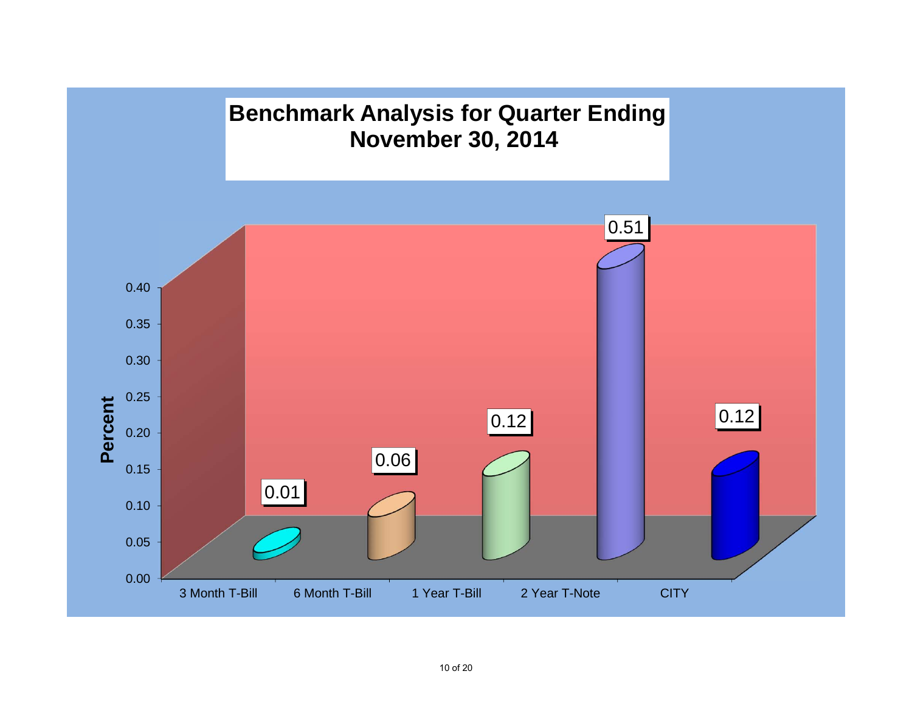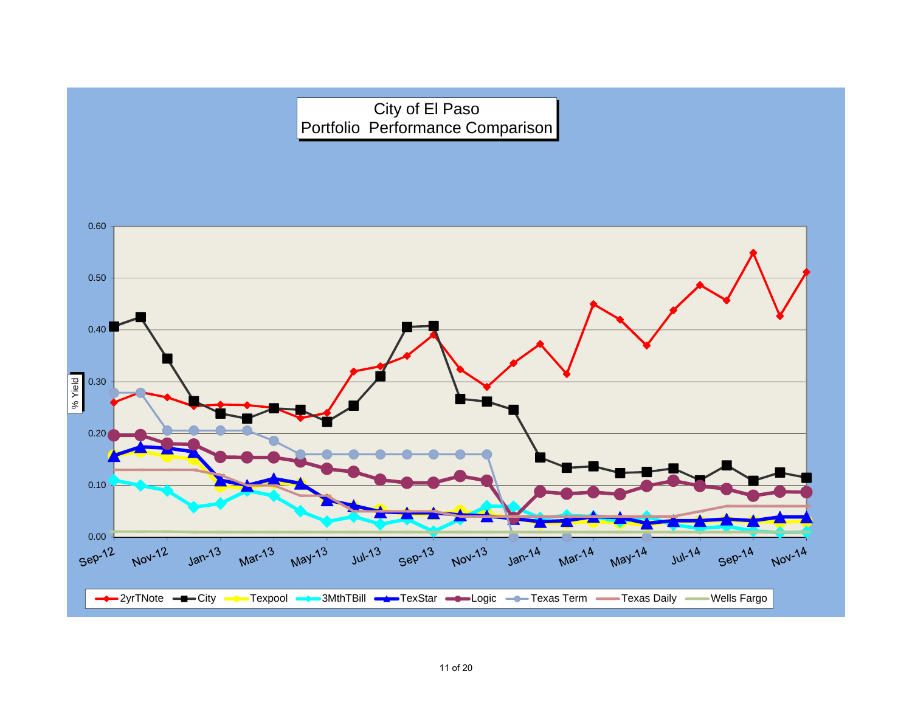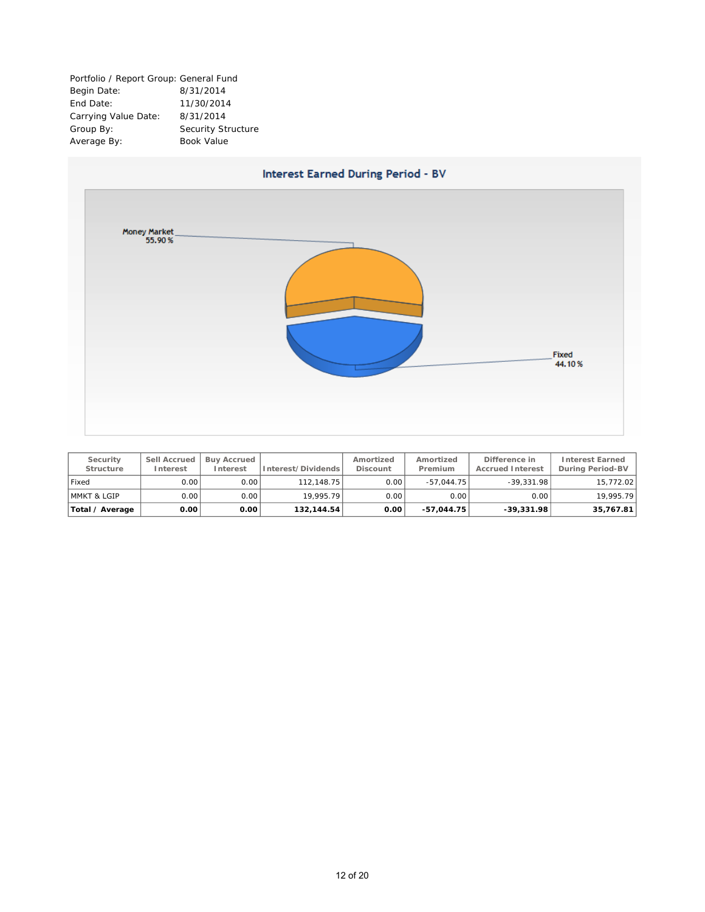Portfolio / Report Group: General Fund Begin Date: 8/31/2014 End Date: 11/30/2014 Carrying Value Date: 8/31/2014 Group By: Security Structure Average By: Book Value

![](_page_13_Figure_1.jpeg)

| Security<br><b>Structure</b> | Sell Accrued<br>Interest | <b>Buv Accrued</b><br><b>Interest</b> | Interest/Dividends | Amortized<br><b>Discount</b> | Amortized<br>Premium | Difference in<br><b>Accrued Interest</b> | <b>Interest Earned</b><br>During Period-BV |
|------------------------------|--------------------------|---------------------------------------|--------------------|------------------------------|----------------------|------------------------------------------|--------------------------------------------|
| Fixed                        | 0.00                     | 0.00                                  | 112.148.75         | 0.00                         | $-57.044.75$         | $-39.331.98$                             | 15,772.02                                  |
| MMKT & LGIP                  | 0.00                     | 0.00                                  | 19.995.79          | 0.00                         | 0.00                 | 0.00                                     | 19.995.79                                  |
| Total / Average              | 0.00                     | 0.00                                  | 132, 144.54        | 0.00                         | $-57.044.75$         | $-39,331.98$                             | 35,767.81                                  |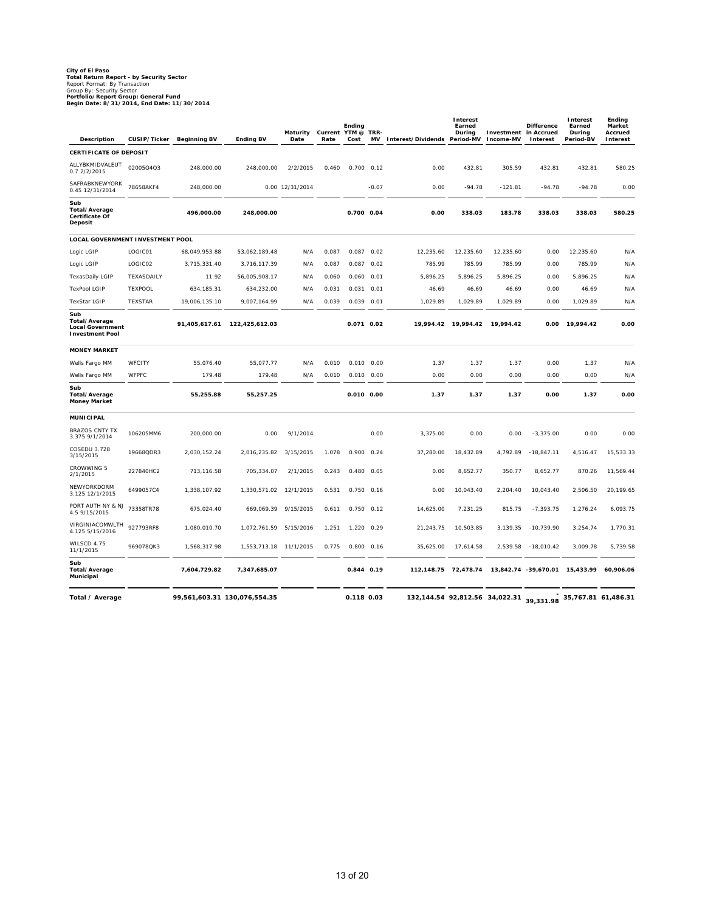# **City of El Paso<br>Total Return Report - by Security Sector<br>Report Format: By Transaction<br>Group By: Security Sector<br><b>Portfolio/Report Group: General Fund<br>Begin Date: 8/31/2014, End Date: 11/30/2014**

| <b>Description</b>                                                               | CUSIP/Ticker   | <b>Beginning BV</b> | <b>Ending BV</b>             | Maturity<br>Date | Current YTM @<br>Rate | Ending<br>Cost | TRR-<br>MV | Interest/Dividends Period-MV   | Interest<br>Earned<br>During | Investment<br>Income-MV | <b>Difference</b><br>in Accrued<br>Interest | Interest<br>Earned<br>During<br>Period-BV | Ending<br>Market<br>Accrued<br>Interest |
|----------------------------------------------------------------------------------|----------------|---------------------|------------------------------|------------------|-----------------------|----------------|------------|--------------------------------|------------------------------|-------------------------|---------------------------------------------|-------------------------------------------|-----------------------------------------|
| <b>CERTIFICATE OF DEPOSIT</b>                                                    |                |                     |                              |                  |                       |                |            |                                |                              |                         |                                             |                                           |                                         |
| ALLYBKMIDVALEUT<br>0.7 2/2/2015                                                  | 02005Q4Q3      | 248,000.00          | 248,000.00                   | 2/2/2015         | 0.460                 | 0.700          | 0.12       | 0.00                           | 432.81                       | 305.59                  | 432.81                                      | 432.81                                    | 580.25                                  |
| SAFRABKNEWYORK<br>0.45 12/31/2014                                                | 78658AKF4      | 248,000.00          |                              | 0.00 12/31/2014  |                       |                | $-0.07$    | 0.00                           | $-94.78$                     | $-121.81$               | $-94.78$                                    | $-94.78$                                  | 0.00                                    |
| Sub<br><b>Total/Average</b><br>Certificate Of<br>Deposit                         |                | 496,000.00          | 248,000.00                   |                  |                       | 0.700 0.04     |            | 0.00                           | 338.03                       | 183.78                  | 338.03                                      | 338.03                                    | 580.25                                  |
| <b>LOCAL GOVERNMENT INVESTMENT POOL</b>                                          |                |                     |                              |                  |                       |                |            |                                |                              |                         |                                             |                                           |                                         |
| Logic LGIP                                                                       | LOGIC01        | 68,049,953.88       | 53,062,189.48                | N/A              | 0.087                 | 0.087          | 0.02       | 12,235.60                      | 12,235.60                    | 12,235.60               | 0.00                                        | 12,235.60                                 | N/A                                     |
| Logic LGIP                                                                       | LOGIC02        | 3,715,331.40        | 3,716,117.39                 | N/A              | 0.087                 | 0.087          | 0.02       | 785.99                         | 785.99                       | 785.99                  | 0.00                                        | 785.99                                    | N/A                                     |
| TexasDaily LGIP                                                                  | TEXASDAILY     | 11.92               | 56,005,908.17                | N/A              | 0.060                 | 0.060          | 0.01       | 5,896.25                       | 5,896.25                     | 5,896.25                | 0.00                                        | 5,896.25                                  | N/A                                     |
| <b>TexPool LGIP</b>                                                              | <b>TEXPOOL</b> | 634, 185. 31        | 634,232.00                   | N/A              | 0.031                 | 0.031          | 0.01       | 46.69                          | 46.69                        | 46.69                   | 0.00                                        | 46.69                                     | N/A                                     |
| <b>TexStar LGIP</b>                                                              | <b>TEXSTAR</b> | 19,006,135.10       | 9,007,164.99                 | N/A              | 0.039                 | $0.039$ $0.01$ |            | 1,029.89                       | 1,029.89                     | 1,029.89                | 0.00                                        | 1,029.89                                  | N/A                                     |
| Sub<br><b>Total/Average</b><br><b>Local Government</b><br><b>Investment Pool</b> |                | 91,405,617.61       | 122,425,612.03               |                  |                       | 0.071 0.02     |            | 19,994.42                      | 19,994.42                    | 19,994.42               | 0.00                                        | 19,994.42                                 | 0.00                                    |
| <b>MONEY MARKET</b>                                                              |                |                     |                              |                  |                       |                |            |                                |                              |                         |                                             |                                           |                                         |
| Wells Fargo MM                                                                   | WFCITY         | 55,076.40           | 55,077.77                    | N/A              | 0.010                 | 0.010          | 0.00       | 1.37                           | 1.37                         | 1.37                    | 0.00                                        | 1.37                                      | N/A                                     |
| Wells Fargo MM                                                                   | WFPFC          | 179.48              | 179.48                       | N/A              | 0.010                 | $0.010$ $0.00$ |            | 0.00                           | 0.00                         | 0.00                    | 0.00                                        | 0.00                                      | N/A                                     |
| Sub<br>Total/Average<br><b>Money Market</b>                                      |                | 55,255.88           | 55,257.25                    |                  |                       | $0.010$ $0.00$ |            | 1.37                           | 1.37                         | 1.37                    | 0.00                                        | 1.37                                      | 0.00                                    |
| <b>MUNICIPAL</b>                                                                 |                |                     |                              |                  |                       |                |            |                                |                              |                         |                                             |                                           |                                         |
| <b>BRAZOS CNTY TX</b><br>3.375 9/1/2014                                          | 106205MM6      | 200.000.00          | 0.00                         | 9/1/2014         |                       |                | 0.00       | 3,375.00                       | 0.00                         | 0.00                    | $-3,375.00$                                 | 0.00                                      | 0.00                                    |
| COSEDU 3.728<br>3/15/2015                                                        | 19668QDR3      | 2,030,152.24        | 2,016,235.82                 | 3/15/2015        | 1.078                 | 0.900          | 0.24       | 37,280.00                      | 18,432.89                    | 4,792.89                | $-18,847.11$                                | 4,516.47                                  | 15,533.33                               |
| CROWWING 5<br>2/1/2015                                                           | 227840HC2      | 713,116.58          | 705,334.07                   | 2/1/2015         | 0.243                 | 0.480          | 0.05       | 0.00                           | 8,652.77                     | 350.77                  | 8,652.77                                    | 870.26                                    | 11,569.44                               |
| NEWYORKDORM<br>3.125 12/1/2015                                                   | 6499057C4      | 1,338,107.92        | 1,330,571.02                 | 12/1/2015        | 0.531                 | 0.750          | 0.16       | 0.00                           | 10,043.40                    | 2,204.40                | 10,043.40                                   | 2,506.50                                  | 20,199.65                               |
| PORT AUTH NY & NJ<br>4.5 9/15/2015                                               | 73358TR78      | 675,024.40          | 669,069.39                   | 9/15/2015        | 0.611                 | 0.750          | 0.12       | 14,625.00                      | 7,231.25                     | 815.75                  | $-7,393.75$                                 | 1,276.24                                  | 6,093.75                                |
| VIRGINIACOMWLTH<br>4.125 5/15/2016                                               | 927793RF8      | 1,080,010.70        | 1,072,761.59                 | 5/15/2016        | 1.251                 | 1.220          | 0.29       | 21,243.75                      | 10,503.85                    | 3,139.35                | $-10,739.90$                                | 3,254.74                                  | 1,770.31                                |
| WILSCD 4.75<br>11/1/2015                                                         | 969078QK3      | 1,568,317.98        | 1,553,713.18                 | 11/1/2015        | 0.775                 | 0.800          | 0.16       | 35,625.00                      | 17,614.58                    | 2,539.58                | $-18,010.42$                                | 3,009.78                                  | 5,739.58                                |
| Sub<br><b>Total/Average</b><br>Municipal                                         |                | 7,604,729.82        | 7,347,685.07                 |                  |                       | 0.844 0.19     |            | 112,148.75                     | 72,478.74                    |                         | 13,842.74 -39,670.01 15,433.99              |                                           | 60,906.06                               |
| Total / Average                                                                  |                |                     | 99,561,603.31 130,076,554.35 |                  |                       | 0.118 0.03     |            | 132,144.54 92,812.56 34,022.31 |                              |                         | 39,331.98                                   | 35,767.81 61,486.31                       |                                         |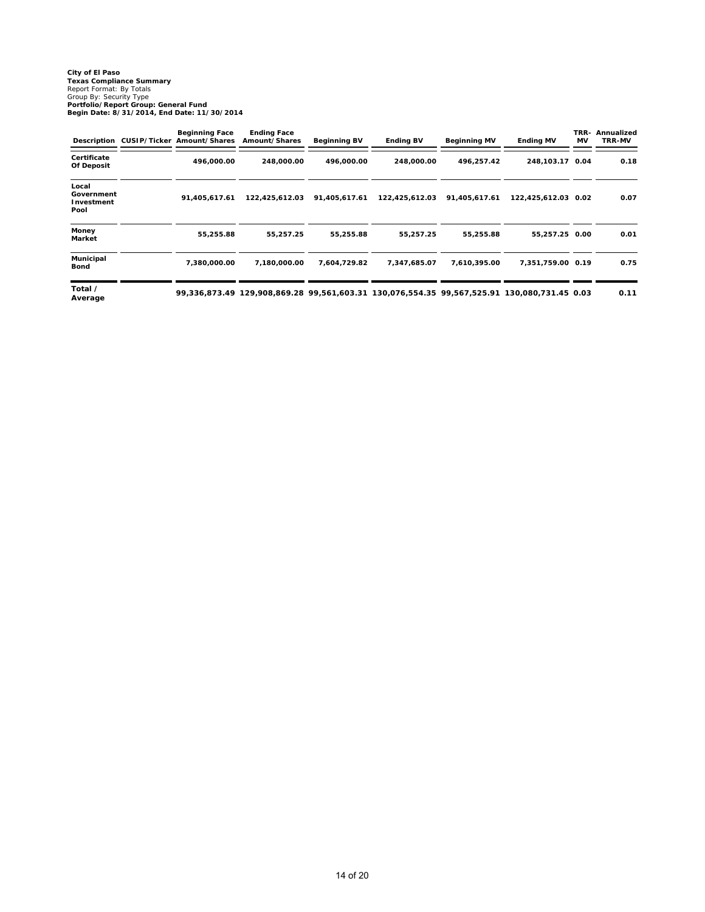# **City of El Paso Texas Compliance Summary** Report Format: By Totals Group By: Security Type **Portfolio/Report Group: General Fund Begin Date: 8/31/2014, End Date: 11/30/2014**

|                                           | <b>Beginning Face</b><br>Description CUSIP/Ticker Amount/Shares | <b>Ending Face</b><br>Amount/Shares | <b>Beginning BV</b> | <b>Ending BV</b>                                                                            | <b>Beginning MV</b> | <b>Ending MV</b>    | TRR-<br>MV | Annualized<br><b>TRR-MV</b> |
|-------------------------------------------|-----------------------------------------------------------------|-------------------------------------|---------------------|---------------------------------------------------------------------------------------------|---------------------|---------------------|------------|-----------------------------|
| Certificate<br>Of Deposit                 | 496.000.00                                                      | 248,000.00                          | 496,000.00          | 248.000.00                                                                                  | 496,257.42          | 248, 103. 17 0.04   |            | 0.18                        |
| Local<br>Government<br>Investment<br>Pool | 91,405,617.61                                                   | 122,425,612.03                      | 91,405,617.61       | 122,425,612.03                                                                              | 91,405,617.61       | 122,425,612.03 0.02 |            | 0.07                        |
| Money<br>Market                           | 55,255.88                                                       | 55,257.25                           | 55,255.88           | 55,257.25                                                                                   | 55,255.88           | 55,257.25 0.00      |            | 0.01                        |
| <b>Municipal</b><br><b>Bond</b>           | 7,380,000.00                                                    | 7,180,000.00                        | 7,604,729.82        | 7,347,685.07                                                                                | 7,610,395.00        | 7,351,759.00 0.19   |            | 0.75                        |
| Total /<br>Average                        |                                                                 |                                     |                     | 99,336,873.49 129,908,869.28 99,561,603.31 130,076,554.35 99,567,525.91 130,080,731.45 0.03 |                     |                     |            | 0.11                        |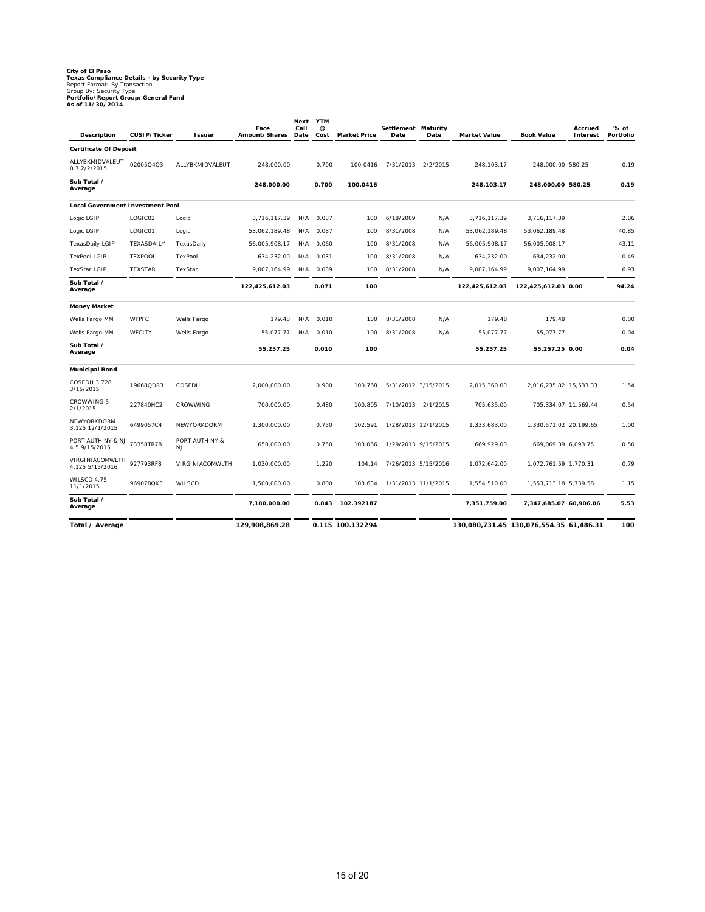# **City of El Paso Texas Compliance Details - by Security Type** Report Format: By Transaction Group By: Security Type **Portfolio/Report Group: General Fund As of 11/30/2014**

| <b>Description</b>                      | CUSIP/Ticker   | <b>Issuer</b>        | Face<br>Amount/Shares | Next<br>Call<br>Date | <b>YTM</b><br>@<br>Cost | <b>Market Price</b> | Settlement Maturity<br>Date | Date     | <b>Market Value</b> | <b>Book Value</b>                       | Accrued<br>Interest | % of<br>Portfolio |
|-----------------------------------------|----------------|----------------------|-----------------------|----------------------|-------------------------|---------------------|-----------------------------|----------|---------------------|-----------------------------------------|---------------------|-------------------|
| <b>Certificate Of Deposit</b>           |                |                      |                       |                      |                         |                     |                             |          |                     |                                         |                     |                   |
| ALLYBKMIDVALEUT<br>0.7 2/2/2015         | 02005Q4Q3      | ALLYBKMIDVALEUT      | 248,000.00            |                      | 0.700                   | 100.0416            | 7/31/2013                   | 2/2/2015 | 248,103.17          | 248,000.00 580.25                       |                     | 0.19              |
| Sub Total /<br>Average                  |                |                      | 248,000.00            |                      | 0.700                   | 100.0416            |                             |          | 248,103.17          | 248,000.00 580.25                       |                     | 0.19              |
| <b>Local Government Investment Pool</b> |                |                      |                       |                      |                         |                     |                             |          |                     |                                         |                     |                   |
| Logic LGIP                              | LOGIC02        | Logic                | 3,716,117.39          | N/A                  | 0.087                   | 100                 | 6/18/2009                   | N/A      | 3,716,117.39        | 3,716,117.39                            |                     | 2.86              |
| Logic LGIP                              | LOGIC01        | Logic                | 53,062,189.48         | N/A                  | 0.087                   | 100                 | 8/31/2008                   | N/A      | 53,062,189.48       | 53,062,189.48                           |                     | 40.85             |
| <b>TexasDaily LGIP</b>                  | TEXASDAILY     | TexasDaily           | 56,005,908.17         | N/A                  | 0.060                   | 100                 | 8/31/2008                   | N/A      | 56,005,908.17       | 56,005,908.17                           |                     | 43.11             |
| <b>TexPool LGIP</b>                     | <b>TEXPOOL</b> | TexPool              | 634,232.00            | N/A                  | 0.031                   | 100                 | 8/31/2008                   | N/A      | 634,232.00          | 634,232.00                              |                     | 0.49              |
| <b>TexStar LGIP</b>                     | <b>TEXSTAR</b> | TexStar              | 9,007,164.99          | N/A                  | 0.039                   | 100                 | 8/31/2008                   | N/A      | 9,007,164.99        | 9,007,164.99                            |                     | 6.93              |
| Sub Total /<br>Average                  |                |                      | 122,425,612.03        |                      | 0.071                   | 100                 |                             |          | 122,425,612.03      | 122,425,612.03 0.00                     |                     | 94.24             |
| <b>Money Market</b>                     |                |                      |                       |                      |                         |                     |                             |          |                     |                                         |                     |                   |
| Wells Fargo MM                          | <b>WFPFC</b>   | Wells Fargo          | 179.48                | N/A                  | 0.010                   | 100                 | 8/31/2008                   | N/A      | 179.48              | 179.48                                  |                     | 0.00              |
| Wells Fargo MM                          | WFCITY         | Wells Fargo          | 55,077.77             | N/A                  | 0.010                   | 100                 | 8/31/2008                   | N/A      | 55,077.77           | 55,077.77                               |                     | 0.04              |
| Sub Total /<br>Average                  |                |                      | 55,257.25             |                      | 0.010                   | 100                 |                             |          | 55,257.25           | 55,257.25 0.00                          |                     | 0.04              |
| <b>Municipal Bond</b>                   |                |                      |                       |                      |                         |                     |                             |          |                     |                                         |                     |                   |
| <b>COSEDU 3.728</b><br>3/15/2015        | 19668QDR3      | COSEDU               | 2,000,000.00          |                      | 0.900                   | 100.768             | 5/31/2012 3/15/2015         |          | 2,015,360.00        | 2,016,235.82 15,533.33                  |                     | 1.54              |
| <b>CROWWING 5</b><br>2/1/2015           | 227840HC2      | CROWWING             | 700,000.00            |                      | 0.480                   | 100.805             | 7/10/2013                   | 2/1/2015 | 705,635.00          | 705,334.07 11,569.44                    |                     | 0.54              |
| NEWYORKDORM<br>3.125 12/1/2015          | 6499057C4      | NEWYORKDORM          | 1,300,000.00          |                      | 0.750                   | 102.591             | 1/28/2013 12/1/2015         |          | 1,333,683.00        | 1,330,571.02 20,199.65                  |                     | 1.00              |
| PORT AUTH NY & NJ<br>4.5 9/15/2015      | 73358TR78      | PORT AUTH NY &<br>NJ | 650.000.00            |                      | 0.750                   | 103.066             | 1/29/2013 9/15/2015         |          | 669,929.00          | 669,069.39 6,093.75                     |                     | 0.50              |
| VIRGINIACOMWLTH<br>4.125 5/15/2016      | 927793RF8      | VIRGINIACOMWLTH      | 1,030,000.00          |                      | 1.220                   | 104.14              | 7/26/2013 5/15/2016         |          | 1,072,642.00        | 1,072,761.59 1,770.31                   |                     | 0.79              |
| WILSCD 4.75<br>11/1/2015                | 969078QK3      | WILSCD               | 1,500,000.00          |                      | 0.800                   | 103.634             | 1/31/2013 11/1/2015         |          | 1,554,510.00        | 1,553,713.18 5,739.58                   |                     | 1.15              |
| Sub Total /<br>Average                  |                |                      | 7,180,000.00          |                      | 0.843                   | 102.392187          |                             |          | 7,351,759.00        | 7,347,685.07 60,906.06                  |                     | 5.53              |
| Total / Average                         |                |                      | 129,908,869.28        |                      |                         | 0.115 100.132294    |                             |          |                     | 130,080,731.45 130,076,554.35 61,486.31 |                     | 100               |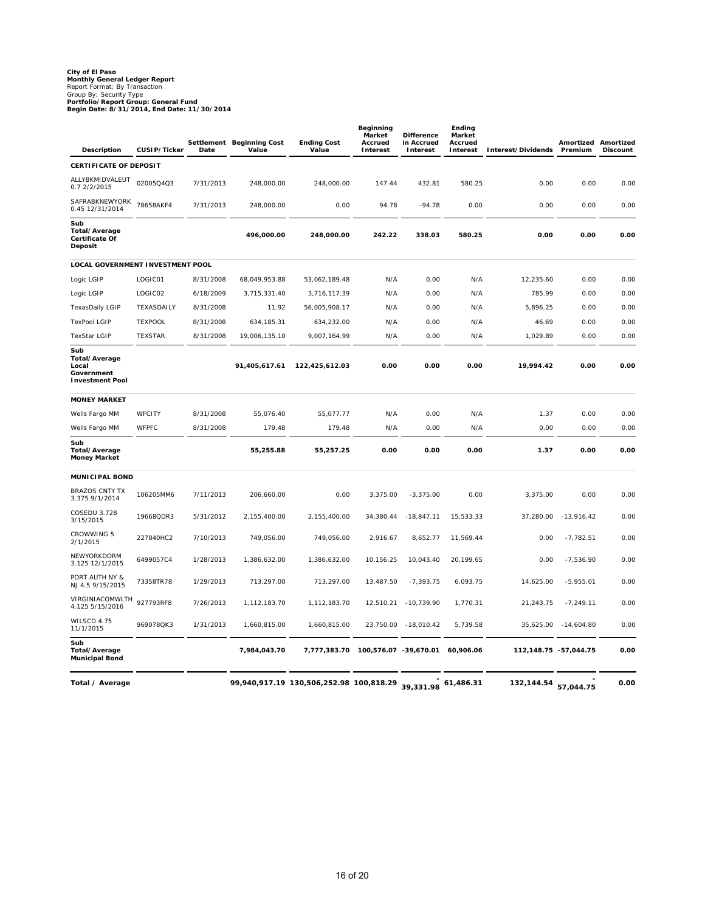# **City of El Paso Monthly General Ledger Report** Report Format: By Transaction Group By: Security Type **Portfolio/Report Group: General Fund Begin Date: 8/31/2014, End Date: 11/30/2014**

| Description                                                           | CUSIP/Ticker   | Date      | Settlement Beginning Cost<br>Value | <b>Ending Cost</b><br>Value             | Beginning<br>Market<br>Accrued<br><b>Interest</b> | <b>Difference</b><br>in Accrued<br>Interest | Ending<br>Market<br>Accrued<br>Interest | Interest/Dividends         | Amortized Amortized<br>Premium | <b>Discount</b> |
|-----------------------------------------------------------------------|----------------|-----------|------------------------------------|-----------------------------------------|---------------------------------------------------|---------------------------------------------|-----------------------------------------|----------------------------|--------------------------------|-----------------|
| CERTIFICATE OF DEPOSIT                                                |                |           |                                    |                                         |                                                   |                                             |                                         |                            |                                |                 |
| ALLYBKMIDVALEUT<br>0.7 2/2/2015                                       | 02005Q4Q3      | 7/31/2013 | 248,000.00                         | 248,000.00                              | 147.44                                            | 432.81                                      | 580.25                                  | 0.00                       | 0.00                           | 0.00            |
| SAFRABKNEWYORK<br>0.45 12/31/2014                                     | 78658AKF4      | 7/31/2013 | 248,000.00                         | 0.00                                    | 94.78                                             | $-94.78$                                    | 0.00                                    | 0.00                       | 0.00                           | 0.00            |
| Sub<br>Total/Average<br>Certificate Of<br>Deposit                     |                |           | 496,000.00                         | 248,000.00                              | 242.22                                            | 338.03                                      | 580.25                                  | 0.00                       | 0.00                           | 0.00            |
| LOCAL GOVERNMENT INVESTMENT POOL                                      |                |           |                                    |                                         |                                                   |                                             |                                         |                            |                                |                 |
| Logic LGIP                                                            | LOGIC01        | 8/31/2008 | 68,049,953.88                      | 53,062,189.48                           | N/A                                               | 0.00                                        | N/A                                     | 12,235.60                  | 0.00                           | 0.00            |
| Logic LGIP                                                            | LOGIC02        | 6/18/2009 | 3,715,331.40                       | 3,716,117.39                            | N/A                                               | 0.00                                        | N/A                                     | 785.99                     | 0.00                           | 0.00            |
| <b>TexasDaily LGIP</b>                                                | TEXASDAILY     | 8/31/2008 | 11.92                              | 56,005,908.17                           | N/A                                               | 0.00                                        | N/A                                     | 5,896.25                   | 0.00                           | 0.00            |
| <b>TexPool LGIP</b>                                                   | <b>TEXPOOL</b> | 8/31/2008 | 634,185.31                         | 634,232.00                              | N/A                                               | 0.00                                        | N/A                                     | 46.69                      | 0.00                           | 0.00            |
| <b>TexStar LGIP</b>                                                   | <b>TEXSTAR</b> | 8/31/2008 | 19,006,135.10                      | 9,007,164.99                            | N/A                                               | 0.00                                        | N/A                                     | 1,029.89                   | 0.00                           | 0.00            |
| Sub<br>Total/Average<br>Local<br>Government<br><b>Investment Pool</b> |                |           | 91,405,617.61                      | 122,425,612.03                          | 0.00                                              | 0.00                                        | 0.00                                    | 19,994.42                  | 0.00                           | 0.00            |
| <b>MONEY MARKET</b>                                                   |                |           |                                    |                                         |                                                   |                                             |                                         |                            |                                |                 |
| Wells Fargo MM                                                        | WFCITY         | 8/31/2008 | 55,076.40                          | 55,077.77                               | N/A                                               | 0.00                                        | N/A                                     | 1.37                       | 0.00                           | 0.00            |
| Wells Fargo MM                                                        | <b>WFPFC</b>   | 8/31/2008 | 179.48                             | 179.48                                  | N/A                                               | 0.00                                        | N/A                                     | 0.00                       | 0.00                           | 0.00            |
| Sub<br>Total/Average<br><b>Money Market</b>                           |                |           | 55,255.88                          | 55,257.25                               | 0.00                                              | 0.00                                        | 0.00                                    | 1.37                       | 0.00                           | 0.00            |
| <b>MUNICIPAL BOND</b>                                                 |                |           |                                    |                                         |                                                   |                                             |                                         |                            |                                |                 |
| <b>BRAZOS CNTY TX</b><br>3.375 9/1/2014                               | 106205MM6      | 7/11/2013 | 206,660.00                         | 0.00                                    | 3,375.00                                          | $-3,375.00$                                 | 0.00                                    | 3,375.00                   | 0.00                           | 0.00            |
| COSEDU 3.728<br>3/15/2015                                             | 19668QDR3      | 5/31/2012 | 2,155,400.00                       | 2,155,400.00                            | 34,380.44                                         | $-18,847.11$                                | 15,533.33                               | 37,280.00                  | $-13,916.42$                   | 0.00            |
| <b>CROWWING 5</b><br>2/1/2015                                         | 227840HC2      | 7/10/2013 | 749,056.00                         | 749,056.00                              | 2,916.67                                          | 8,652.77                                    | 11,569.44                               | 0.00                       | $-7,782.51$                    | 0.00            |
| NEWYORKDORM<br>3.125 12/1/2015                                        | 6499057C4      | 1/28/2013 | 1,386,632.00                       | 1,386,632.00                            | 10,156.25                                         | 10,043.40                                   | 20,199.65                               | 0.00                       | $-7,536.90$                    | 0.00            |
| PORT AUTH NY &<br>NJ 4.5 9/15/2015                                    | 73358TR78      | 1/29/2013 | 713,297.00                         | 713,297.00                              | 13,487.50                                         | $-7,393.75$                                 | 6,093.75                                | 14,625.00                  | $-5,955.01$                    | 0.00            |
| VIRGINIACOMWLTH<br>4.125 5/15/2016                                    | 927793RF8      | 7/26/2013 | 1,112,183.70                       | 1,112,183.70                            | 12,510.21                                         | $-10,739.90$                                | 1,770.31                                | 21,243.75                  | $-7,249.11$                    | 0.00            |
| WILSCD 4.75<br>11/1/2015                                              | 969078QK3      | 1/31/2013 | 1,660,815.00                       | 1,660,815.00                            | 23,750.00                                         | $-18,010.42$                                | 5,739.58                                | 35,625.00                  | $-14,604.80$                   | 0.00            |
| Sub<br>Total/Average<br><b>Municipal Bond</b>                         |                |           | 7,984,043.70                       | 7,777,383.70                            |                                                   | 100,576.07 -39,670.01                       | 60,906.06                               | 112, 148. 75 - 57, 044. 75 |                                | 0.00            |
| Total / Average                                                       |                |           |                                    | 99,940,917.19 130,506,252.98 100,818.29 |                                                   | 39,331.98 61,486.31                         |                                         | 132, 144. 54 57, 044. 75   |                                | 0.00            |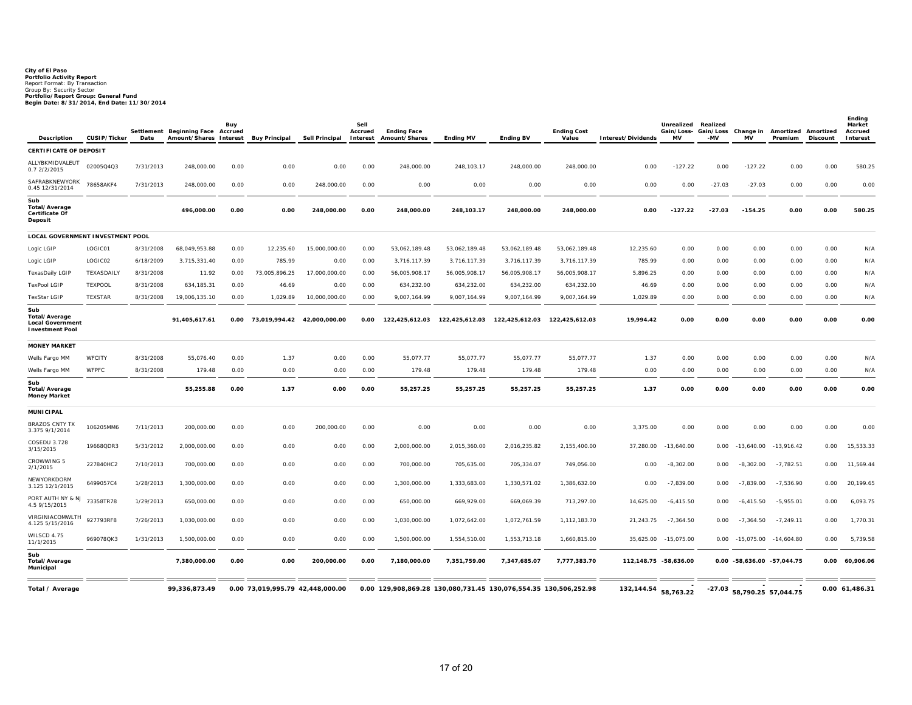# **City of El Paso Portfolio Activity Report** Report Format: By Transaction Group By: Security Sector **Portfolio/Report Group: General Fund Begin Date: 8/31/2014, End Date: 11/30/2014**

| Description                                                               | CUSIP/Ticker   | Settlement<br>Date | <b>Beginning Face Accrued</b><br>Amount/Shares Interest | Buy  | <b>Buy Principal</b>             | <b>Sell Principal</b> | Sell<br>Accrued<br>Interest | <b>Ending Face</b><br>Amount/Shares | <b>Ending MV</b> | <b>Ending BV</b>                                                     | <b>Ending Cost</b><br>Value | Interest/Dividends    | Unrealized<br>Gain/Loss- Gain/Loss<br><b>MV</b> | Realized<br>-MV | Change in<br><b>MV</b>       | Amortized Amortized<br>Premium | Discount | Ending<br>Market<br>Accrued<br>Interest |
|---------------------------------------------------------------------------|----------------|--------------------|---------------------------------------------------------|------|----------------------------------|-----------------------|-----------------------------|-------------------------------------|------------------|----------------------------------------------------------------------|-----------------------------|-----------------------|-------------------------------------------------|-----------------|------------------------------|--------------------------------|----------|-----------------------------------------|
| <b>CERTIFICATE OF DEPOSIT</b>                                             |                |                    |                                                         |      |                                  |                       |                             |                                     |                  |                                                                      |                             |                       |                                                 |                 |                              |                                |          |                                         |
| ALLYBKMIDVALEUT<br>0.72/2/2015                                            | 02005Q4Q3      | 7/31/2013          | 248.000.00                                              | 0.00 | 0.00                             | 0.00                  | 0.00                        | 248.000.00                          | 248.103.17       | 248.000.00                                                           | 248.000.00                  | 0.00                  | $-127.22$                                       | 0.00            | $-127.22$                    | 0.00                           | 0.00     | 580.25                                  |
| SAFRABKNEWYORK<br>0.45 12/31/2014                                         | 78658AKF4      | 7/31/2013          | 248,000.00                                              | 0.00 | 0.00                             | 248,000.00            | 0.00                        | 0.00                                | 0.00             | 0.00                                                                 | 0.00                        | 0.00                  | 0.00                                            | $-27.03$        | $-27.03$                     | 0.00                           | 0.00     | 0.00                                    |
| Sub<br><b>Total/Average</b><br>Certificate Of<br>Deposit                  |                |                    | 496,000.00                                              | 0.00 | 0.00                             | 248,000.00            | 0.00                        | 248,000.00                          | 248,103.17       | 248,000.00                                                           | 248,000.00                  | 0.00                  | $-127.22$                                       | $-27.03$        | $-154.25$                    | 0.00                           | 0.00     | 580.25                                  |
| LOCAL GOVERNMENT INVESTMENT POOL                                          |                |                    |                                                         |      |                                  |                       |                             |                                     |                  |                                                                      |                             |                       |                                                 |                 |                              |                                |          |                                         |
| Logic LGIP                                                                | LOGIC01        | 8/31/2008          | 68,049,953.88                                           | 0.00 | 12,235.60                        | 15,000,000.00         | 0.00                        | 53,062,189.48                       | 53,062,189.48    | 53,062,189.48                                                        | 53,062,189.48               | 12,235.60             | 0.00                                            | 0.00            | 0.00                         | 0.00                           | 0.00     | N/A                                     |
| Logic LGIP                                                                | LOGIC02        | 6/18/2009          | 3,715,331.40                                            | 0.00 | 785.99                           | 0.00                  | 0.00                        | 3,716,117.39                        | 3,716,117.39     | 3,716,117.39                                                         | 3,716,117.39                | 785.99                | 0.00                                            | 0.00            | 0.00                         | 0.00                           | 0.00     | N/A                                     |
| TexasDaily LGIP                                                           | TEXASDAILY     | 8/31/2008          | 11.92                                                   | 0.00 | 73,005,896.25                    | 17,000,000.00         | 0.00                        | 56,005,908.17                       | 56,005,908.17    | 56,005,908.17                                                        | 56,005,908.17               | 5,896.25              | 0.00                                            | 0.00            | 0.00                         | 0.00                           | 0.00     | N/A                                     |
| <b>TexPool LGIP</b>                                                       | <b>TEXPOOL</b> | 8/31/2008          | 634,185.31                                              | 0.00 | 46.69                            | 0.00                  | 0.00                        | 634,232.00                          | 634,232.00       | 634,232.00                                                           | 634,232.00                  | 46.69                 | 0.00                                            | 0.00            | 0.00                         | 0.00                           | 0.00     | N/A                                     |
| <b>TexStar LGIP</b>                                                       | <b>TEXSTAR</b> | 8/31/2008          | 19,006,135.10                                           | 0.00 | 1,029.89                         | 10,000,000.00         | 0.00                        | 9,007,164.99                        | 9,007,164.99     | 9,007,164.99                                                         | 9,007,164.99                | 1,029.89              | 0.00                                            | 0.00            | 0.00                         | 0.00                           | 0.00     | N/A                                     |
| Sub<br>Total/Average<br><b>Local Government</b><br><b>Investment Pool</b> |                |                    | 91,405,617.61                                           |      | 0.00 73,019,994.42 42,000,000.00 |                       | 0.00                        |                                     |                  | 122,425,612.03    122,425,612.03    122,425,612.03    122,425,612.03 |                             | 19,994.42             | 0.00                                            | 0.00            | 0.00                         | 0.00                           | 0.00     | 0.00                                    |
| <b>MONEY MARKET</b>                                                       |                |                    |                                                         |      |                                  |                       |                             |                                     |                  |                                                                      |                             |                       |                                                 |                 |                              |                                |          |                                         |
| Wells Fargo MM                                                            | WFCITY         | 8/31/2008          | 55,076.40                                               | 0.00 | 1.37                             | 0.00                  | 0.00                        | 55,077.77                           | 55,077.77        | 55,077.77                                                            | 55,077.77                   | 1.37                  | 0.00                                            | 0.00            | 0.00                         | 0.00                           | 0.00     | N/A                                     |
| Wells Fargo MM                                                            | <b>WFPFC</b>   | 8/31/2008          | 179.48                                                  | 0.00 | 0.00                             | 0.00                  | 0.00                        | 179.48                              | 179.48           | 179.48                                                               | 179.48                      | 0.00                  | 0.00                                            | 0.00            | 0.00                         | 0.00                           | 0.00     | N/A                                     |
| Sub<br>Total/Average<br><b>Money Market</b>                               |                |                    | 55,255.88                                               | 0.00 | 1.37                             | 0.00                  | 0.00                        | 55,257.25                           | 55,257.25        | 55,257.25                                                            | 55,257.25                   | 1.37                  | 0.00                                            | 0.00            | 0.00                         | 0.00                           | 0.00     | 0.00                                    |
| <b>MUNICIPAL</b>                                                          |                |                    |                                                         |      |                                  |                       |                             |                                     |                  |                                                                      |                             |                       |                                                 |                 |                              |                                |          |                                         |
| <b>BRAZOS CNTY TX</b><br>3.375 9/1/2014                                   | 106205MM6      | 7/11/2013          | 200,000.00                                              | 0.00 | 0.00                             | 200,000.00            | 0.00                        | 0.00                                | 0.00             | 0.00                                                                 | 0.00                        | 3,375.00              | 0.00                                            | 0.00            | 0.00                         | 0.00                           | 0.00     | 0.00                                    |
| COSEDU 3.728<br>3/15/2015                                                 | 19668QDR3      | 5/31/2012          | 2,000,000.00                                            | 0.00 | 0.00                             | 0.00                  | 0.00                        | 2,000,000.00                        | 2,015,360.00     | 2,016,235.82                                                         | 2,155,400.00                | 37,280.00             | $-13,640.00$                                    | 0.00            | $-13,640.00$                 | $-13,916.42$                   | 0.00     | 15,533.33                               |
| CROWWING 5<br>2/1/2015                                                    | 227840HC2      | 7/10/2013          | 700,000.00                                              | 0.00 | 0.00                             | 0.00                  | 0.00                        | 700,000.00                          | 705,635.00       | 705,334.07                                                           | 749,056.00                  | 0.00                  | $-8,302.00$                                     | 0.00            | $-8,302.00$                  | $-7,782.51$                    | 0.00     | 11,569.44                               |
| NEWYORKDORM<br>3.125 12/1/2015                                            | 6499057C4      | 1/28/2013          | 1,300,000.00                                            | 0.00 | 0.00                             | 0.00                  | 0.00                        | 1,300,000.00                        | 1,333,683.00     | 1,330,571.02                                                         | 1,386,632.00                | 0.00                  | $-7,839.00$                                     | 0.00            | $-7.839.00$                  | $-7,536.90$                    | 0.00     | 20,199.65                               |
| PORT AUTH NY & NJ<br>4.5 9/15/2015                                        | 73358TR78      | 1/29/2013          | 650,000.00                                              | 0.00 | 0.00                             | 0.00                  | 0.00                        | 650,000.00                          | 669,929.00       | 669,069.39                                                           | 713,297.00                  | 14,625.00             | $-6,415.50$                                     | 0.00            | $-6,415.50$                  | $-5,955.01$                    | 0.00     | 6,093.75                                |
| VIRGINIACOMWLTH<br>4.125 5/15/2016                                        | 927793RF8      | 7/26/2013          | 1,030,000.00                                            | 0.00 | 0.00                             | 0.00                  | 0.00                        | 1,030,000.00                        | 1,072,642.00     | 1,072,761.59                                                         | 1,112,183.70                | 21,243.75             | $-7,364.50$                                     | 0.00            | $-7,364.50$                  | $-7,249.11$                    | 0.00     | 1,770.31                                |
| WILSCD 4.75<br>11/1/2015                                                  | 969078QK3      | 1/31/2013          | 1.500.000.00                                            | 0.00 | 0.00                             | 0.00                  | 0.00                        | 1,500,000.00                        | 1,554,510.00     | 1,553,713.18                                                         | 1,660,815.00                | 35.625.00             | $-15.075.00$                                    | 0.00            | $-15.075.00$                 | $-14,604.80$                   | 0.00     | 5,739.58                                |
| Sub<br>Total/Average<br>Municipal                                         |                |                    | 7,380,000.00                                            | 0.00 | 0.00                             | 200,000.00            | 0.00                        | 7,180,000.00                        | 7,351,759.00     | 7,347,685.07                                                         | 7,777,383.70                | 112,148.75 -58,636.00 |                                                 |                 | 0.00 -58,636.00 -57,044.75   |                                |          | 0.00 60,906.06                          |
| Total / Average                                                           |                |                    | 99,336,873.49                                           |      | 0.00 73,019,995.79 42,448,000.00 |                       |                             |                                     |                  | 0.00 129,908,869.28 130,080,731.45 130,076,554.35 130,506,252.98     |                             | 132,144.54            | 58,763.22                                       |                 | $-27.03$ 58,790.25 57,044.75 |                                |          | 0.00 61,486.31                          |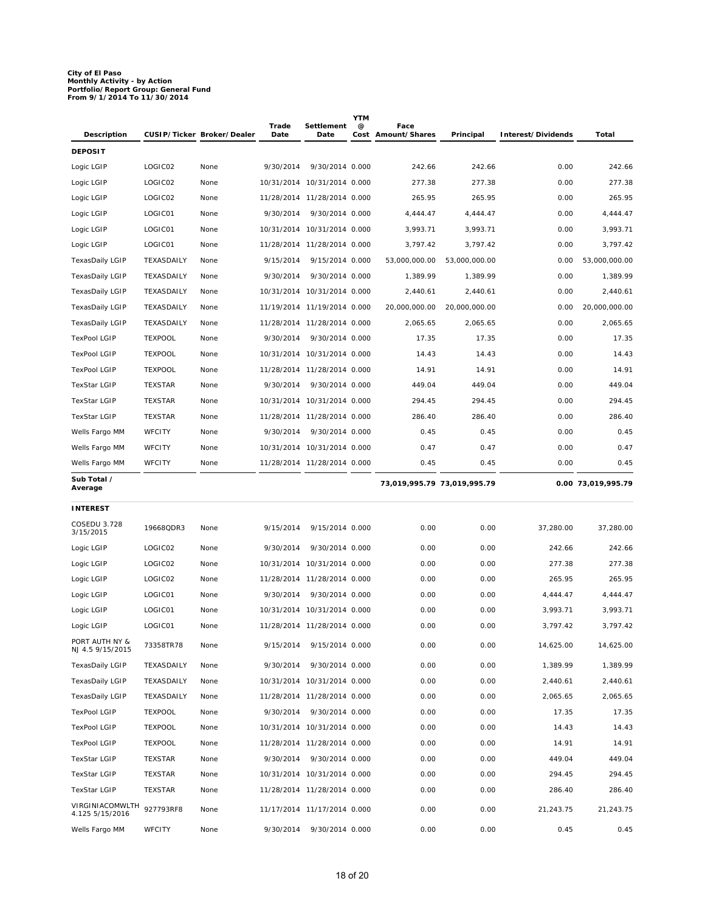# **City of El Paso Monthly Activity - by Action Portfolio/Report Group: General Fund From 9/1/2014 To 11/30/2014**

| Description                        |                | CUSIP/Ticker Broker/Dealer | Trade<br>Date | Settlement<br>Date          | <b>YTM</b><br>@ | Face<br>Cost Amount/Shares  | Principal     | Interest/Dividends | Total              |
|------------------------------------|----------------|----------------------------|---------------|-----------------------------|-----------------|-----------------------------|---------------|--------------------|--------------------|
| <b>DEPOSIT</b>                     |                |                            |               |                             |                 |                             |               |                    |                    |
| Logic LGIP                         | LOGIC02        | None                       | 9/30/2014     | 9/30/2014 0.000             |                 | 242.66                      | 242.66        | 0.00               | 242.66             |
| Logic LGIP                         | LOGIC02        | None                       |               | 10/31/2014 10/31/2014 0.000 |                 | 277.38                      | 277.38        | 0.00               | 277.38             |
| Logic LGIP                         | LOGIC02        | None                       |               | 11/28/2014 11/28/2014 0.000 |                 | 265.95                      | 265.95        | 0.00               | 265.95             |
| Logic LGIP                         | LOGIC01        | None                       | 9/30/2014     | 9/30/2014 0.000             |                 | 4,444.47                    | 4,444.47      | 0.00               | 4,444.47           |
| Logic LGIP                         | LOGIC01        | None                       |               | 10/31/2014 10/31/2014 0.000 |                 | 3,993.71                    | 3,993.71      | 0.00               | 3,993.71           |
| Logic LGIP                         | LOGIC01        | None                       |               | 11/28/2014 11/28/2014 0.000 |                 | 3,797.42                    | 3,797.42      | 0.00               | 3,797.42           |
| TexasDaily LGIP                    | TEXASDAILY     | None                       | 9/15/2014     | 9/15/2014 0.000             |                 | 53,000,000.00               | 53,000,000.00 | 0.00               | 53,000,000.00      |
| <b>TexasDaily LGIP</b>             | TEXASDAILY     | None                       | 9/30/2014     | 9/30/2014 0.000             |                 | 1,389.99                    | 1,389.99      | 0.00               | 1,389.99           |
| <b>TexasDaily LGIP</b>             | TEXASDAILY     | None                       |               | 10/31/2014 10/31/2014 0.000 |                 | 2,440.61                    | 2,440.61      | 0.00               | 2,440.61           |
| TexasDaily LGIP                    | TEXASDAILY     | None                       |               | 11/19/2014 11/19/2014 0.000 |                 | 20,000,000.00               | 20,000,000.00 | 0.00               | 20,000,000.00      |
| TexasDaily LGIP                    | TEXASDAILY     | None                       |               | 11/28/2014 11/28/2014 0.000 |                 | 2,065.65                    | 2,065.65      | 0.00               | 2,065.65           |
| <b>TexPool LGIP</b>                | <b>TEXPOOL</b> | None                       | 9/30/2014     | 9/30/2014 0.000             |                 | 17.35                       | 17.35         | 0.00               | 17.35              |
| <b>TexPool LGIP</b>                | <b>TEXPOOL</b> | None                       |               | 10/31/2014 10/31/2014 0.000 |                 | 14.43                       | 14.43         | 0.00               | 14.43              |
| <b>TexPool LGIP</b>                | <b>TEXPOOL</b> | None                       |               | 11/28/2014 11/28/2014 0.000 |                 | 14.91                       | 14.91         | 0.00               | 14.91              |
| TexStar LGIP                       | <b>TEXSTAR</b> | None                       | 9/30/2014     | 9/30/2014 0.000             |                 | 449.04                      | 449.04        | 0.00               | 449.04             |
| <b>TexStar LGIP</b>                | <b>TEXSTAR</b> | None                       |               | 10/31/2014 10/31/2014 0.000 |                 | 294.45                      | 294.45        | 0.00               | 294.45             |
| <b>TexStar LGIP</b>                | <b>TEXSTAR</b> | None                       |               | 11/28/2014 11/28/2014 0.000 |                 | 286.40                      | 286.40        | 0.00               | 286.40             |
| Wells Fargo MM                     | <b>WFCITY</b>  | None                       | 9/30/2014     | 9/30/2014 0.000             |                 | 0.45                        | 0.45          | 0.00               | 0.45               |
| Wells Fargo MM                     | <b>WFCITY</b>  | None                       |               | 10/31/2014 10/31/2014 0.000 |                 | 0.47                        | 0.47          | 0.00               | 0.47               |
| Wells Fargo MM                     | <b>WFCITY</b>  | None                       |               | 11/28/2014 11/28/2014 0.000 |                 | 0.45                        | 0.45          | 0.00               | 0.45               |
| Sub Total /<br>Average             |                |                            |               |                             |                 | 73,019,995.79 73,019,995.79 |               |                    | 0.00 73,019,995.79 |
|                                    |                |                            |               |                             |                 |                             |               |                    |                    |
| <b>INTEREST</b>                    |                |                            |               |                             |                 |                             |               |                    |                    |
| COSEDU 3.728<br>3/15/2015          | 19668QDR3      | None                       | 9/15/2014     | 9/15/2014 0.000             |                 | 0.00                        | 0.00          | 37,280.00          | 37,280.00          |
| Logic LGIP                         | LOGIC02        | None                       | 9/30/2014     | 9/30/2014 0.000             |                 | 0.00                        | 0.00          | 242.66             | 242.66             |
| Logic LGIP                         | LOGIC02        | None                       | 10/31/2014    | 10/31/2014 0.000            |                 | 0.00                        | 0.00          | 277.38             | 277.38             |
| Logic LGIP                         | LOGIC02        | None                       |               | 11/28/2014 11/28/2014 0.000 |                 | 0.00                        | 0.00          | 265.95             | 265.95             |
| Logic LGIP                         | LOGIC01        | None                       | 9/30/2014     | 9/30/2014 0.000             |                 | 0.00                        | 0.00          | 4,444.47           | 4.444.47           |
| Logic LGIP                         | LOGIC01        | None                       |               | 10/31/2014 10/31/2014 0.000 |                 | 0.00                        | 0.00          | 3,993.71           | 3,993.71           |
| Logic LGIP                         | LOGIC01        | None                       |               | 11/28/2014 11/28/2014 0.000 |                 | 0.00                        | 0.00          | 3,797.42           | 3,797.42           |
| PORT AUTH NY &<br>NJ 4.5 9/15/2015 | 73358TR78      | None                       | 9/15/2014     | 9/15/2014 0.000             |                 | 0.00                        | 0.00          | 14,625.00          | 14,625.00          |
| <b>TexasDaily LGIP</b>             | TEXASDAILY     | None                       | 9/30/2014     | 9/30/2014 0.000             |                 | 0.00                        | 0.00          | 1,389.99           | 1,389.99           |
| TexasDaily LGIP                    | TEXASDAILY     | None                       |               | 10/31/2014 10/31/2014 0.000 |                 | 0.00                        | 0.00          | 2,440.61           | 2,440.61           |
| TexasDaily LGIP                    | TEXASDAILY     | None                       |               | 11/28/2014 11/28/2014 0.000 |                 | 0.00                        | 0.00          | 2,065.65           | 2,065.65           |
| <b>TexPool LGIP</b>                | <b>TEXPOOL</b> | None                       | 9/30/2014     | 9/30/2014 0.000             |                 | 0.00                        | 0.00          | 17.35              | 17.35              |
| <b>TexPool LGIP</b>                | <b>TEXPOOL</b> | None                       |               | 10/31/2014 10/31/2014 0.000 |                 | 0.00                        | 0.00          | 14.43              | 14.43              |
| <b>TexPool LGIP</b>                | <b>TEXPOOL</b> | None                       |               | 11/28/2014 11/28/2014 0.000 |                 | 0.00                        | 0.00          | 14.91              | 14.91              |
| TexStar LGIP                       | <b>TEXSTAR</b> | None                       | 9/30/2014     | 9/30/2014 0.000             |                 | 0.00                        | 0.00          | 449.04             | 449.04             |
| TexStar LGIP                       | <b>TEXSTAR</b> | None                       |               | 10/31/2014 10/31/2014 0.000 |                 | 0.00                        | 0.00          | 294.45             | 294.45             |
| TexStar LGIP                       | <b>TEXSTAR</b> | None                       |               | 11/28/2014 11/28/2014 0.000 |                 | 0.00                        | 0.00          | 286.40             | 286.40             |
| VIRGINIACOMWLTH<br>4.125 5/15/2016 | 927793RF8      | None                       |               | 11/17/2014 11/17/2014 0.000 |                 | 0.00                        | 0.00          | 21,243.75          | 21,243.75          |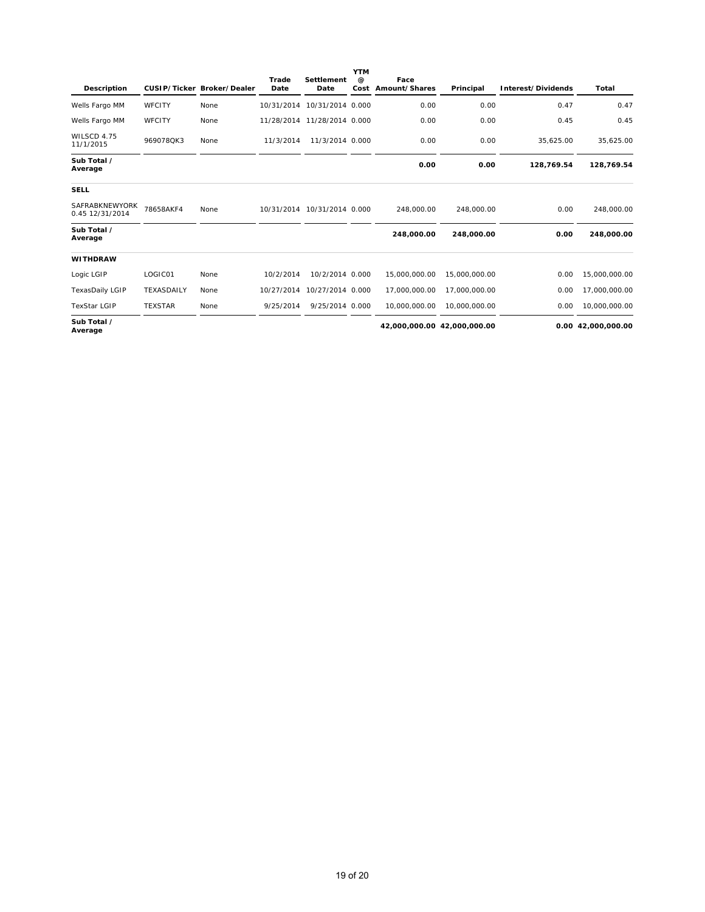| Description                       |                | CUSIP/Ticker Broker/Dealer | Trade<br>Date | <b>Settlement</b><br>Date   | <b>YTM</b><br>$\omega$ | Face<br>Cost Amount/Shares | Principal                   | Interest/Dividends | Total              |
|-----------------------------------|----------------|----------------------------|---------------|-----------------------------|------------------------|----------------------------|-----------------------------|--------------------|--------------------|
| Wells Fargo MM                    | <b>WFCITY</b>  | None                       | 10/31/2014    | 10/31/2014 0.000            |                        | 0.00                       | 0.00                        | 0.47               | 0.47               |
| Wells Fargo MM                    | <b>WFCITY</b>  | None                       | 11/28/2014    | 11/28/2014 0.000            |                        | 0.00                       | 0.00                        | 0.45               | 0.45               |
| WILSCD 4.75<br>11/1/2015          | 969078QK3      | None                       | 11/3/2014     | 11/3/2014 0.000             |                        | 0.00                       | 0.00                        | 35,625.00          | 35,625.00          |
| Sub Total /<br>Average            |                |                            |               |                             |                        | 0.00                       | 0.00                        | 128,769.54         | 128,769.54         |
| <b>SELL</b>                       |                |                            |               |                             |                        |                            |                             |                    |                    |
| SAFRABKNEWYORK<br>0.45 12/31/2014 | 78658AKF4      | None                       |               | 10/31/2014 10/31/2014 0.000 |                        | 248,000.00                 | 248,000.00                  | 0.00               | 248,000.00         |
| Sub Total /<br>Average            |                |                            |               |                             |                        | 248.000.00                 | 248,000.00                  | 0.00               | 248,000.00         |
| <b>WITHDRAW</b>                   |                |                            |               |                             |                        |                            |                             |                    |                    |
| Logic LGIP                        | LOGIC01        | None                       | 10/2/2014     | 10/2/2014 0.000             |                        | 15,000,000.00              | 15,000,000.00               | 0.00               | 15,000,000.00      |
| <b>TexasDaily LGIP</b>            | TEXASDAILY     | None                       | 10/27/2014    | 10/27/2014 0.000            |                        | 17,000,000.00              | 17,000,000.00               | 0.00               | 17,000,000.00      |
| <b>TexStar LGIP</b>               | <b>TEXSTAR</b> | None                       | 9/25/2014     | 9/25/2014 0.000             |                        | 10.000.000.00              | 10.000.000.00               | 0.00               | 10,000,000.00      |
| Sub Total /<br>Average            |                |                            |               |                             |                        |                            | 42,000,000.00 42,000,000.00 |                    | 0.00 42,000,000.00 |